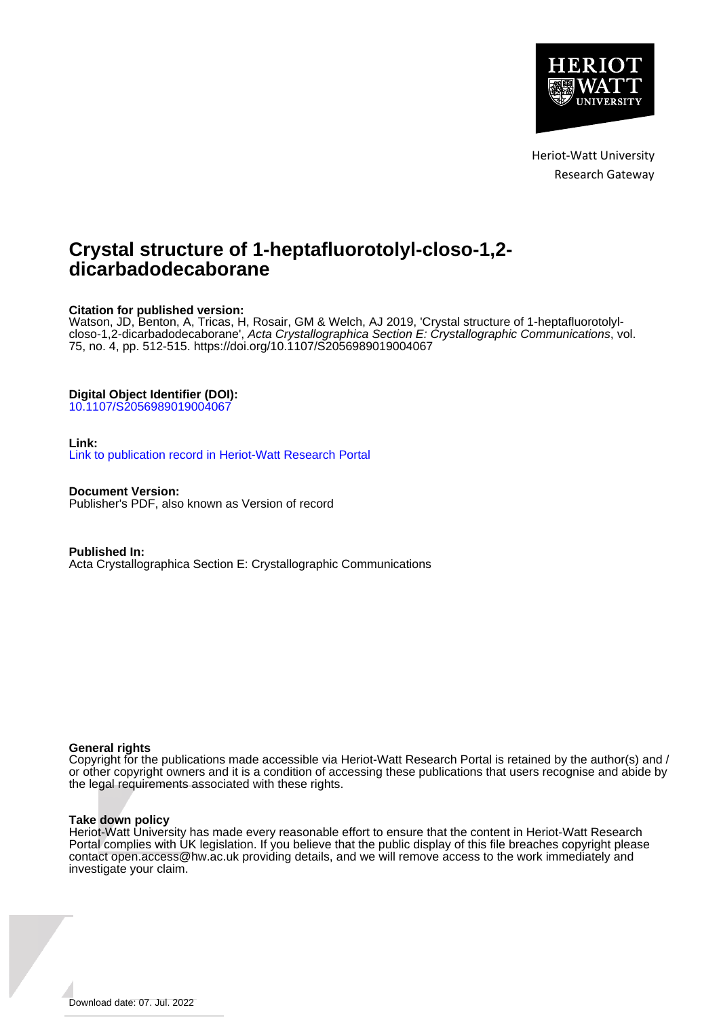

Heriot-Watt University Research Gateway

## **Crystal structure of 1-heptafluorotolyl-closo-1,2 dicarbadodecaborane**

### **Citation for published version:**

Watson, JD, Benton, A, Tricas, H, Rosair, GM & Welch, AJ 2019, 'Crystal structure of 1-heptafluorotolylcloso-1,2-dicarbadodecaborane', Acta Crystallographica Section E: Crystallographic Communications, vol. 75, no. 4, pp. 512-515.<https://doi.org/10.1107/S2056989019004067>

#### **Digital Object Identifier (DOI):**

[10.1107/S2056989019004067](https://doi.org/10.1107/S2056989019004067)

#### **Link:**

[Link to publication record in Heriot-Watt Research Portal](https://researchportal.hw.ac.uk/en/publications/0c8415de-dfa3-4d0a-a77f-a67746abee86)

**Document Version:** Publisher's PDF, also known as Version of record

**Published In:** Acta Crystallographica Section E: Crystallographic Communications

#### **General rights**

Copyright for the publications made accessible via Heriot-Watt Research Portal is retained by the author(s) and / or other copyright owners and it is a condition of accessing these publications that users recognise and abide by the legal requirements associated with these rights.

#### **Take down policy**

Heriot-Watt University has made every reasonable effort to ensure that the content in Heriot-Watt Research Portal complies with UK legislation. If you believe that the public display of this file breaches copyright please contact open.access@hw.ac.uk providing details, and we will remove access to the work immediately and investigate your claim.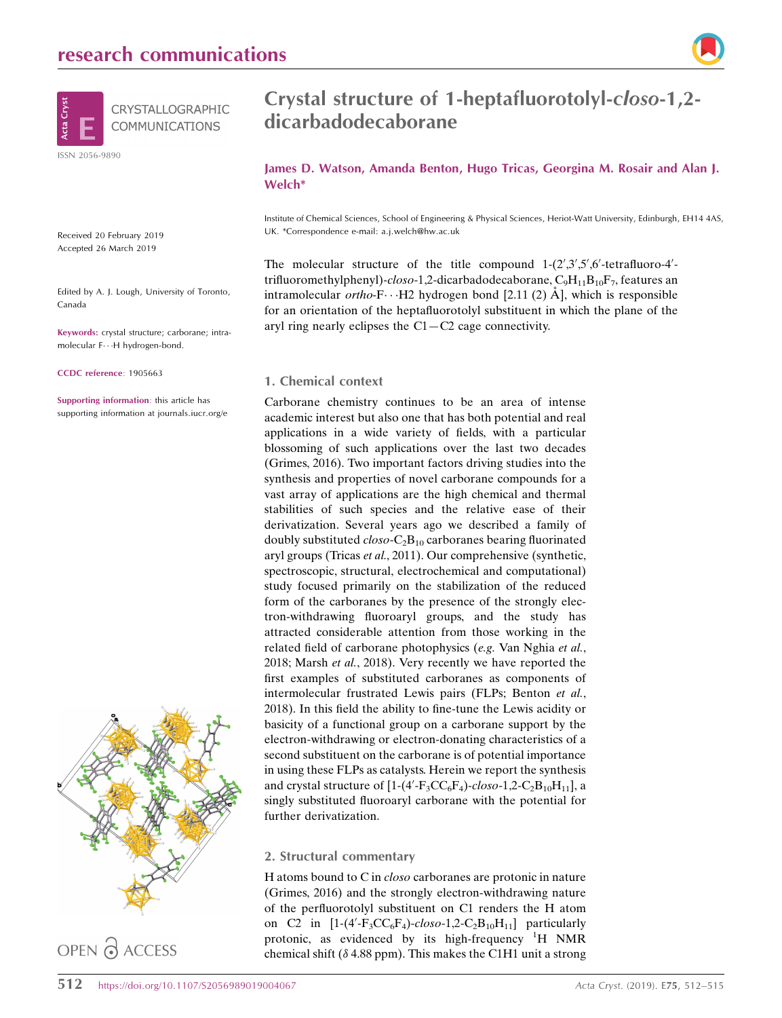

Received 20 February 2019 Accepted 26 March 2019

Edited by A. J. Lough, University of Toronto, Canada

Keywords: crystal structure; carborane; intramolecular F---H hydrogen-bond.

CCDC reference: 1905663

Supporting information: this article has supporting information at journals.iucr.org/e



OPEN PACCESS

## Crystal structure of 1-heptafluorotolyl-closo-1,2 dicarbadodecaborane

James D. Watson, Amanda Benton, Hugo Tricas, Georgina M. Rosair and Alan J. Welch\*

Institute of Chemical Sciences, School of Engineering & Physical Sciences, Heriot-Watt University, Edinburgh, EH14 4AS, UK. \*Correspondence e-mail: a.j.welch@hw.ac.uk

The molecular structure of the title compound  $1-(2', 3', 5', 6'$ -tetrafluoro-4'trifluoromethylphenyl)-closo-1,2-dicarbadodecaborane,  $C_9H_{11}B_{10}F_7$ , features an intramolecular ortho-F $\cdots$ H2 hydrogen bond [2.11 (2) Å], which is responsible for an orientation of the heptafluorotolyl substituent in which the plane of the aryl ring nearly eclipses the  $C1 - C2$  cage connectivity.

#### 1. Chemical context

Carborane chemistry continues to be an area of intense academic interest but also one that has both potential and real applications in a wide variety of fields, with a particular blossoming of such applications over the last two decades (Grimes, 2016). Two important factors driving studies into the synthesis and properties of novel carborane compounds for a vast array of applications are the high chemical and thermal stabilities of such species and the relative ease of their derivatization. Several years ago we described a family of doubly substituted  $closo-C<sub>2</sub>B<sub>10</sub>$  carboranes bearing fluorinated aryl groups (Tricas et al., 2011). Our comprehensive (synthetic, spectroscopic, structural, electrochemical and computational) study focused primarily on the stabilization of the reduced form of the carboranes by the presence of the strongly electron-withdrawing fluoroaryl groups, and the study has attracted considerable attention from those working in the related field of carborane photophysics (e.g. Van Nghia et al., 2018; Marsh et al., 2018). Very recently we have reported the first examples of substituted carboranes as components of intermolecular frustrated Lewis pairs (FLPs; Benton et al., 2018). In this field the ability to fine-tune the Lewis acidity or basicity of a functional group on a carborane support by the electron-withdrawing or electron-donating characteristics of a second substituent on the carborane is of potential importance in using these FLPs as catalysts. Herein we report the synthesis and crystal structure of  $[1-(4'-F_3CC_6F_4)\text{-}closo-1,2-C_2B_{10}H_{11}]$ , a singly substituted fluoroaryl carborane with the potential for further derivatization.

#### 2. Structural commentary

H atoms bound to C in closo carboranes are protonic in nature (Grimes, 2016) and the strongly electron-withdrawing nature of the perfluorotolyl substituent on C1 renders the H atom on C2 in  $[1-(4'-F_3CC_6F_4)-closo-1,2-C_2B_{10}H_{11}]$  particularly protonic, as evidenced by its high-frequency  ${}^{1}H$  NMR chemical shift ( $\delta$  4.88 ppm). This makes the C1H1 unit a strong

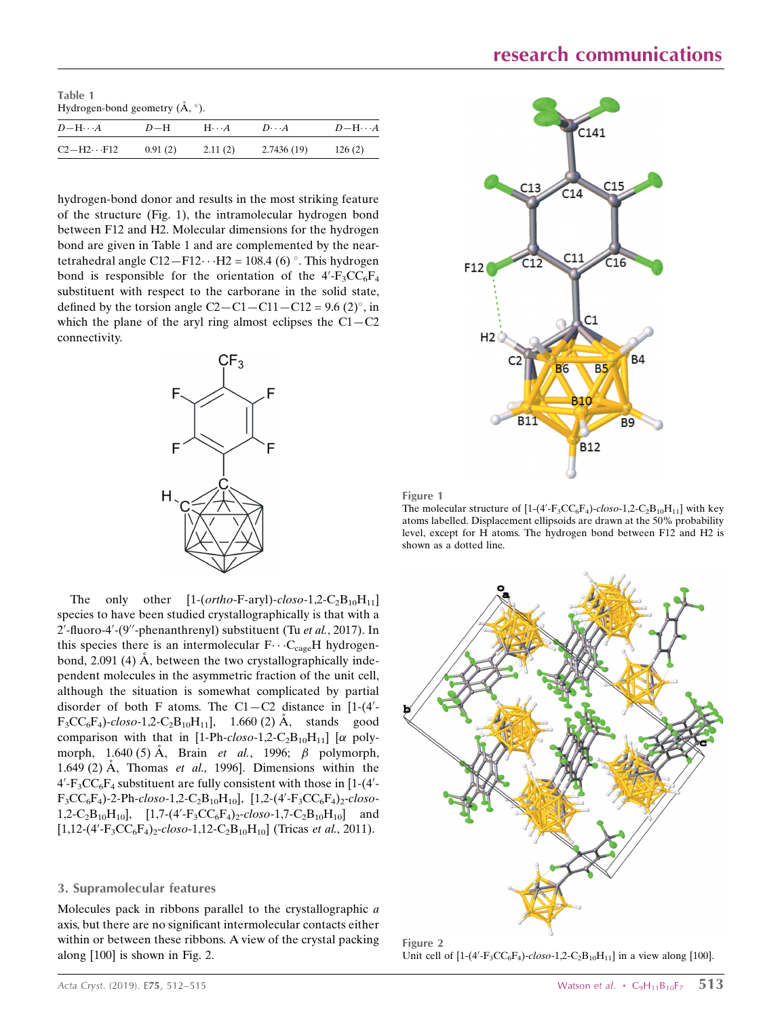Table 1 Hydrogen-bond geometry  $(\AA, \degree)$ .

| $D-\mathrm{H}\cdots A$ | $D-H$   | $H \cdots A$ | $D \cdot \cdot \cdot A$ | $D-H\cdots A$ |
|------------------------|---------|--------------|-------------------------|---------------|
| $C2-H2 \cdot F12$      | 0.91(2) | 2.11(2)      | 2.7436(19)              | 126(2)        |

hydrogen-bond donor and results in the most striking feature of the structure (Fig. 1), the intramolecular hydrogen bond between F12 and H2. Molecular dimensions for the hydrogen bond are given in Table 1 and are complemented by the neartetrahedral angle  $C12 - F12 \cdots H2 = 108.4$  (6) °. This hydrogen bond is responsible for the orientation of the  $4'$ -F<sub>3</sub>CC<sub>6</sub>F<sub>4</sub> substituent with respect to the carborane in the solid state, defined by the torsion angle  $C2 - C1 - C11 - C12 = 9.6$  (2)°, in which the plane of the aryl ring almost eclipses the  $C1 - C2$ connectivity.



The only other  $[1-(ortho-F-aryl)-closo-1,2-C_2B_{10}H_{11}]$ species to have been studied crystallographically is that with a 2'-fluoro-4'-(9"-phenanthrenyl) substituent (Tu et al., 2017). In this species there is an intermolecular  $F \cdots C_{\text{cage}}H$  hydrogenbond, 2.091 (4)  $\dot{A}$ , between the two crystallographically independent molecules in the asymmetric fraction of the unit cell, although the situation is somewhat complicated by partial disorder of both F atoms. The  $C1 - C2$  distance in [1-(4'- $F_3CC_6F_4$ -closo-1,2-C<sub>2</sub>B<sub>10</sub>H<sub>11</sub>], 1.660 (2) Å, stands good comparison with that in [1-Ph-closo-1,2-C<sub>2</sub>B<sub>10</sub>H<sub>11</sub>] [ $\alpha$  polymorph, 1.640 (5)  $\AA$ , Brain *et al.*, 1996;  $\beta$  polymorph, 1.649 (2) Å, Thomas et al., 1996]. Dimensions within the  $4'$ - $F_3CC_6F_4$  substituent are fully consistent with those in [1-(4'- $F_3CC_6F_4$ )-2-Ph-closo-1,2-C<sub>2</sub>B<sub>10</sub>H<sub>10</sub>], [1,2-(4'-F<sub>3</sub>CC<sub>6</sub>F<sub>4</sub>)<sub>2</sub>-closo-1,2-C<sub>2</sub>B<sub>10</sub>H<sub>10</sub>], [1,7-(4'-F<sub>3</sub>CC<sub>6</sub>F<sub>4</sub>)<sub>2</sub>-closo-1,7-C<sub>2</sub>B<sub>10</sub>H<sub>10</sub>] and  $[1,12-(4'-F<sub>3</sub>CC<sub>6</sub>F<sub>4</sub>)<sub>2</sub>-closo-1,12-C<sub>2</sub>B<sub>10</sub>H<sub>10</sub>]$  (Tricas *et al.*, 2011).

#### 3. Supramolecular features

Molecules pack in ribbons parallel to the crystallographic a axis, but there are no significant intermolecular contacts either within or between these ribbons. A view of the crystal packing along [100] is shown in Fig. 2.





The molecular structure of  $[1-(4'-F_3CC_6F_4)-clos_0-1,2-C_2B_{10}H_{11}]$  with key atoms labelled. Displacement ellipsoids are drawn at the 50% probability level, except for H atoms. The hydrogen bond between F12 and H2 is shown as a dotted line.



Figure 2 Unit cell of  $[1-(4'-F_3CC_6F_4)-closo-1,2-C_2B_{10}H_{11}]$  in a view along [100].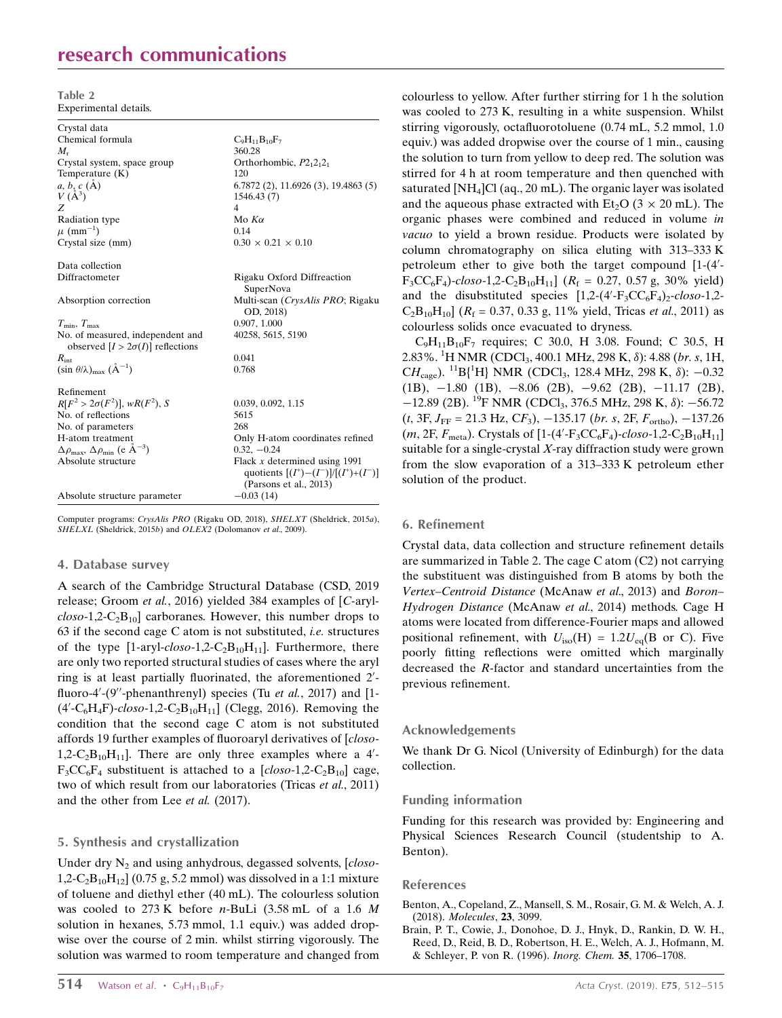## research communications

Table 2 Experimental details.

| $C_9H_{11}B_{10}F_7$                      |
|-------------------------------------------|
| 360.28                                    |
| Orthorhombic, $P2_12_12_1$                |
| 120                                       |
| 6.7872(2), 11.6926(3), 19.4863(5)         |
| 1546.43 (7)                               |
| $\overline{4}$                            |
| Mo $K\alpha$                              |
| 0.14                                      |
| $0.30 \times 0.21 \times 0.10$            |
|                                           |
| Rigaku Oxford Diffreaction                |
| SuperNova                                 |
| Multi-scan (CrysAlis PRO; Rigaku          |
| OD, 2018)                                 |
| 0.907, 1.000                              |
| 40258, 5615, 5190                         |
|                                           |
| 0.041                                     |
| 0.768                                     |
|                                           |
| 0.039, 0.092, 1.15                        |
| 5615                                      |
| 268                                       |
| Only H-atom coordinates refined           |
| $0.32, -0.24$                             |
| Flack $x$ determined using 1991           |
| quotients $[(I^+)- (I^-)]/[(I^+)+ (I^-)]$ |
| (Parsons et al., 2013)                    |
| $-0.03(14)$                               |
|                                           |

Computer programs: CrysAlis PRO (Rigaku OD, 2018), SHELXT (Sheldrick, 2015a), SHELXL (Sheldrick, 2015b) and OLEX2 (Dolomanov et al., 2009).

#### 4. Database survey

A search of the Cambridge Structural Database (CSD, 2019 release; Groom et al., 2016) yielded 384 examples of [C-aryl- $\text{clos}_0$ -1,2-C<sub>2</sub>B<sub>10</sub>] carboranes. However, this number drops to 63 if the second cage C atom is not substituted, i.e. structures of the type  $[1-\text{aryl-}closo-1,2-C<sub>2</sub>B<sub>10</sub>H<sub>11</sub>]$ . Furthermore, there are only two reported structural studies of cases where the aryl ring is at least partially fluorinated, the aforementioned 2'fluoro-4'-(9"-phenanthrenyl) species (Tu et al., 2017) and [1- $(4'-C_6H_4F)$ -closo-1,2-C<sub>2</sub>B<sub>10</sub>H<sub>11</sub>] (Clegg, 2016). Removing the condition that the second cage C atom is not substituted affords 19 further examples of fluoroaryl derivatives of [closo-1,2- $C_2B_{10}H_{11}$ ]. There are only three examples where a 4'- $F_3CC_6F_4$  substituent is attached to a  $[closo-1,2-C_2B_{10}]$  cage, two of which result from our laboratories (Tricas et al., 2011) and the other from Lee et al. (2017).

#### 5. Synthesis and crystallization

Under dry  $N_2$  and using anhydrous, degassed solvents,  $[close 1,2-C_2B_{10}H_{12}$  (0.75 g, 5.2 mmol) was dissolved in a 1:1 mixture of toluene and diethyl ether (40 mL). The colourless solution was cooled to  $273 \text{ K}$  before *n*-BuLi  $(3.58 \text{ mL of a } 1.6 \text{ M})$ solution in hexanes, 5.73 mmol, 1.1 equiv.) was added dropwise over the course of 2 min. whilst stirring vigorously. The solution was warmed to room temperature and changed from colourless to yellow. After further stirring for 1 h the solution was cooled to 273 K, resulting in a white suspension. Whilst stirring vigorously, octafluorotoluene (0.74 mL, 5.2 mmol, 1.0 equiv.) was added dropwise over the course of 1 min., causing the solution to turn from yellow to deep red. The solution was stirred for 4 h at room temperature and then quenched with saturated  $[NH_4]Cl$  (aq., 20 mL). The organic layer was isolated and the aqueous phase extracted with Et<sub>2</sub>O ( $3 \times 20$  mL). The organic phases were combined and reduced in volume in vacuo to yield a brown residue. Products were isolated by column chromatography on silica eluting with 313–333 K petroleum ether to give both the target compound  $[1-(4)$  $F_3CC_6F_4$ -closo-1,2-C<sub>2</sub>B<sub>10</sub>H<sub>11</sub>] ( $R_f = 0.27, 0.57$  g, 30% yield) and the disubstituted species  $[1,2-(4'-F_3CC_6F_4)_2$ -closo-1,2- $C_2B_{10}H_{10}$ ] ( $R_f = 0.37, 0.33$  g, 11% yield, Tricas *et al.*, 2011) as colourless solids once evacuated to dryness.

 $C_9H_{11}B_{10}F_7$  requires; C 30.0, H 3.08. Found; C 30.5, H 2.83%. <sup>1</sup>H NMR (CDCl<sub>3</sub>, 400.1 MHz, 298 K, δ): 4.88 (*br. s*, 1H, CH<sub>cage</sub>). <sup>11</sup>B{<sup>1</sup>H} NMR (CDCl<sub>3</sub>, 128.4 MHz, 298 K,  $\delta$ ): -0.32  $(1B)$ ,  $-1.80$   $(1B)$ ,  $-8.06$   $(2B)$ ,  $-9.62$   $(2B)$ ,  $-11.17$   $(2B)$ ,  $-12.89$  (2B). <sup>19</sup>F NMR (CDCl<sub>3</sub>, 376.5 MHz, 298 K,  $\delta$ ):  $-56.72$  $(t, 3F, J_{FF} = 21.3 \text{ Hz}, CF_3$ ,  $-135.17$  (br. s, 2F,  $F_{\text{ortho}}$ ),  $-137.26$  $(m, 2F, F_{\text{meta}})$ . Crystals of [1-(4'-F<sub>3</sub>CC<sub>6</sub>F<sub>4</sub>)-closo-1,2-C<sub>2</sub>B<sub>10</sub>H<sub>11</sub>] suitable for a single-crystal  $X$ -ray diffraction study were grown from the slow evaporation of a 313–333 K petroleum ether solution of the product.

#### 6. Refinement

Crystal data, data collection and structure refinement details are summarized in Table 2. The cage C atom (C2) not carrying the substituent was distinguished from B atoms by both the Vertex–Centroid Distance (McAnaw et al., 2013) and Boron– Hydrogen Distance (McAnaw et al., 2014) methods. Cage H atoms were located from difference-Fourier maps and allowed positional refinement, with  $U_{iso}(H) = 1.2U_{eq}(B)$  or C). Five poorly fitting reflections were omitted which marginally decreased the R-factor and standard uncertainties from the previous refinement.

#### Acknowledgements

We thank Dr G. Nicol (University of Edinburgh) for the data collection.

#### Funding information

Funding for this research was provided by: Engineering and Physical Sciences Research Council (studentship to A. Benton).

#### References

- [Benton, A., Copeland, Z., Mansell, S. M., Rosair, G. M. & Welch, A. J.](http://scripts.iucr.org/cgi-bin/cr.cgi?rm=pdfbb&cnor=lh5894&bbid=BB1) (2018). [Molecules](http://scripts.iucr.org/cgi-bin/cr.cgi?rm=pdfbb&cnor=lh5894&bbid=BB1), 23, 3099.
- [Brain, P. T., Cowie, J., Donohoe, D. J., Hnyk, D., Rankin, D. W. H.,](http://scripts.iucr.org/cgi-bin/cr.cgi?rm=pdfbb&cnor=lh5894&bbid=BB2) [Reed, D., Reid, B. D., Robertson, H. E., Welch, A. J., Hofmann, M.](http://scripts.iucr.org/cgi-bin/cr.cgi?rm=pdfbb&cnor=lh5894&bbid=BB2) [& Schleyer, P. von R. \(1996\).](http://scripts.iucr.org/cgi-bin/cr.cgi?rm=pdfbb&cnor=lh5894&bbid=BB2) Inorg. Chem. 35, 1706–1708.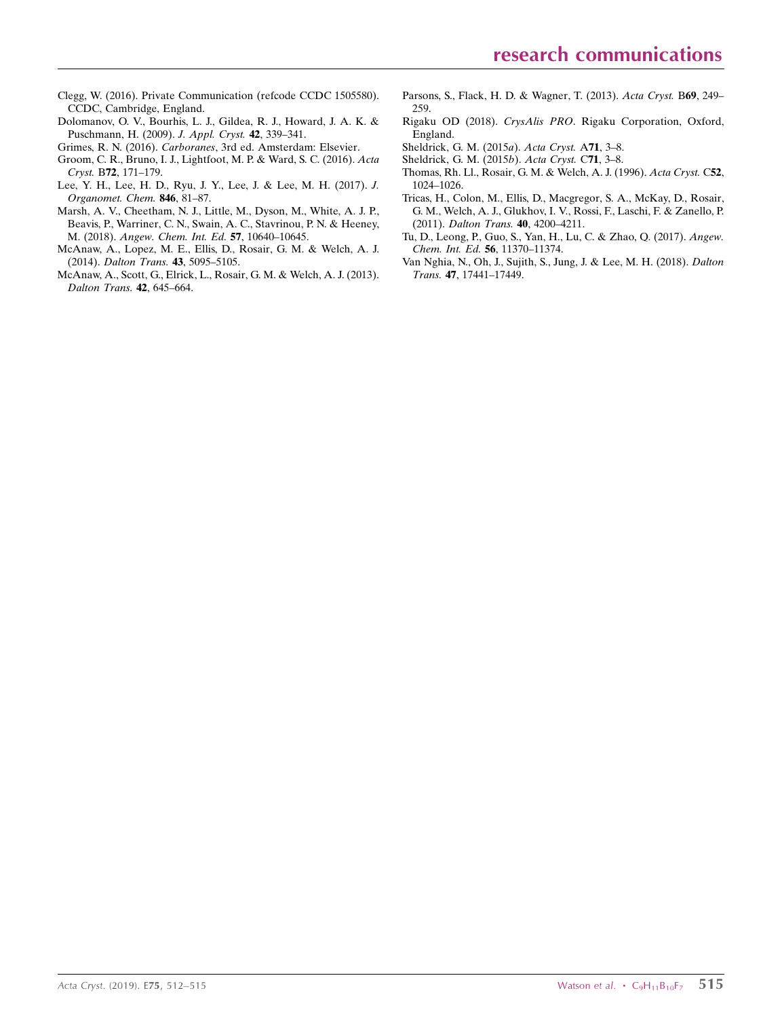- [Clegg, W. \(2016\). Private Communication \(refcode CCDC 1505580\).](http://scripts.iucr.org/cgi-bin/cr.cgi?rm=pdfbb&cnor=lh5894&bbid=BB11) [CCDC, Cambridge, England.](http://scripts.iucr.org/cgi-bin/cr.cgi?rm=pdfbb&cnor=lh5894&bbid=BB11)
- [Dolomanov, O. V., Bourhis, L. J., Gildea, R. J., Howard, J. A. K. &](http://scripts.iucr.org/cgi-bin/cr.cgi?rm=pdfbb&cnor=lh5894&bbid=BB4) [Puschmann, H. \(2009\).](http://scripts.iucr.org/cgi-bin/cr.cgi?rm=pdfbb&cnor=lh5894&bbid=BB4) J. Appl. Cryst. 42, 339–341.
- Grimes, R. N. (2016). Carboranes[, 3rd ed. Amsterdam: Elsevier.](http://scripts.iucr.org/cgi-bin/cr.cgi?rm=pdfbb&cnor=lh5894&bbid=BB5)
- [Groom, C. R., Bruno, I. J., Lightfoot, M. P. & Ward, S. C. \(2016\).](http://scripts.iucr.org/cgi-bin/cr.cgi?rm=pdfbb&cnor=lh5894&bbid=BB6) Acta Cryst. B72[, 171–179.](http://scripts.iucr.org/cgi-bin/cr.cgi?rm=pdfbb&cnor=lh5894&bbid=BB6)
- [Lee, Y. H., Lee, H. D., Ryu, J. Y., Lee, J. & Lee, M. H. \(2017\).](http://scripts.iucr.org/cgi-bin/cr.cgi?rm=pdfbb&cnor=lh5894&bbid=BB7) J. [Organomet. Chem.](http://scripts.iucr.org/cgi-bin/cr.cgi?rm=pdfbb&cnor=lh5894&bbid=BB7) 846, 81–87.
- [Marsh, A. V., Cheetham, N. J., Little, M., Dyson, M., White, A. J. P.,](http://scripts.iucr.org/cgi-bin/cr.cgi?rm=pdfbb&cnor=lh5894&bbid=BB8) [Beavis, P., Warriner, C. N., Swain, A. C., Stavrinou, P. N. & Heeney,](http://scripts.iucr.org/cgi-bin/cr.cgi?rm=pdfbb&cnor=lh5894&bbid=BB8) M. (2018). [Angew. Chem. Int. Ed.](http://scripts.iucr.org/cgi-bin/cr.cgi?rm=pdfbb&cnor=lh5894&bbid=BB8) 57, 10640–10645.
- [McAnaw, A., Lopez, M. E., Ellis, D., Rosair, G. M. & Welch, A. J.](http://scripts.iucr.org/cgi-bin/cr.cgi?rm=pdfbb&cnor=lh5894&bbid=BB9) (2014). [Dalton Trans.](http://scripts.iucr.org/cgi-bin/cr.cgi?rm=pdfbb&cnor=lh5894&bbid=BB9) 43, 5095–5105.
- [McAnaw, A., Scott, G., Elrick, L., Rosair, G. M. & Welch, A. J. \(2013\).](http://scripts.iucr.org/cgi-bin/cr.cgi?rm=pdfbb&cnor=lh5894&bbid=BB10) [Dalton Trans.](http://scripts.iucr.org/cgi-bin/cr.cgi?rm=pdfbb&cnor=lh5894&bbid=BB10) 42, 645–664.
- [Parsons, S., Flack, H. D. & Wagner, T. \(2013\).](http://scripts.iucr.org/cgi-bin/cr.cgi?rm=pdfbb&cnor=lh5894&bbid=BB18) Acta Cryst. B69, 249– [259.](http://scripts.iucr.org/cgi-bin/cr.cgi?rm=pdfbb&cnor=lh5894&bbid=BB18)
- Rigaku OD (2018). CrysAlis PRO[. Rigaku Corporation, Oxford,](http://scripts.iucr.org/cgi-bin/cr.cgi?rm=pdfbb&cnor=lh5894&bbid=BB12) [England.](http://scripts.iucr.org/cgi-bin/cr.cgi?rm=pdfbb&cnor=lh5894&bbid=BB12)
- [Sheldrick, G. M. \(2015](http://scripts.iucr.org/cgi-bin/cr.cgi?rm=pdfbb&cnor=lh5894&bbid=BB13)a). Acta Cryst. A71, 3–8.
- [Sheldrick, G. M. \(2015](http://scripts.iucr.org/cgi-bin/cr.cgi?rm=pdfbb&cnor=lh5894&bbid=BB14)b). Acta Cryst. C71, 3–8.
- [Thomas, Rh. Ll., Rosair, G. M. & Welch, A. J. \(1996\).](http://scripts.iucr.org/cgi-bin/cr.cgi?rm=pdfbb&cnor=lh5894&bbid=BB15) Acta Cryst. C52, [1024–1026.](http://scripts.iucr.org/cgi-bin/cr.cgi?rm=pdfbb&cnor=lh5894&bbid=BB15)
- [Tricas, H., Colon, M., Ellis, D., Macgregor, S. A., McKay, D., Rosair,](http://scripts.iucr.org/cgi-bin/cr.cgi?rm=pdfbb&cnor=lh5894&bbid=BB16) [G. M., Welch, A. J., Glukhov, I. V., Rossi, F., Laschi, F. & Zanello, P.](http://scripts.iucr.org/cgi-bin/cr.cgi?rm=pdfbb&cnor=lh5894&bbid=BB16) (2011). [Dalton Trans.](http://scripts.iucr.org/cgi-bin/cr.cgi?rm=pdfbb&cnor=lh5894&bbid=BB16) 40, 4200–4211.
- [Tu, D., Leong, P., Guo, S., Yan, H., Lu, C. & Zhao, Q. \(2017\).](http://scripts.iucr.org/cgi-bin/cr.cgi?rm=pdfbb&cnor=lh5894&bbid=BB17) Angew. [Chem. Int. Ed.](http://scripts.iucr.org/cgi-bin/cr.cgi?rm=pdfbb&cnor=lh5894&bbid=BB17) 56, 11370–11374.
- [Van Nghia, N., Oh, J., Sujith, S., Jung, J. & Lee, M. H. \(2018\).](http://scripts.iucr.org/cgi-bin/cr.cgi?rm=pdfbb&cnor=lh5894&bbid=BB11) Dalton Trans. 47[, 17441–17449.](http://scripts.iucr.org/cgi-bin/cr.cgi?rm=pdfbb&cnor=lh5894&bbid=BB11)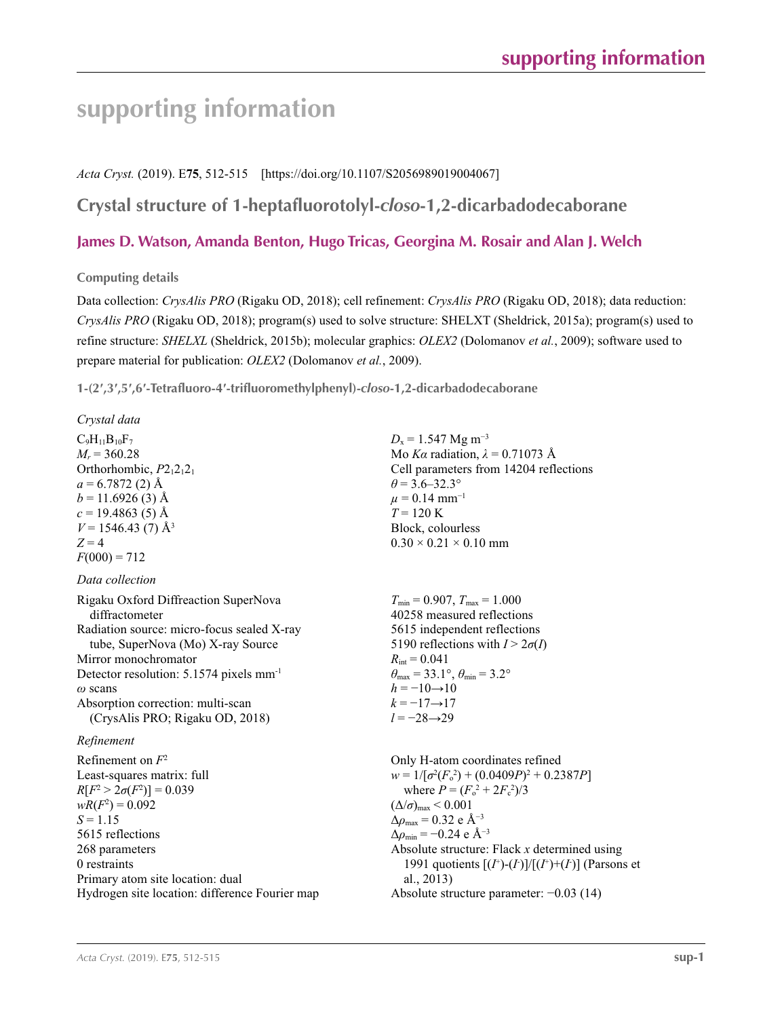# **supporting information**

*Acta Cryst.* (2019). E**75**, 512-515 [https://doi.org/10.1107/S2056989019004067]

## **Crystal structure of 1-heptafluorotolyl-***closo***-1,2-dicarbadodecaborane**

### **James D. Watson, Amanda Benton, Hugo Tricas, Georgina M. Rosair and Alan J. Welch**

#### **Computing details**

Data collection: *CrysAlis PRO* (Rigaku OD, 2018); cell refinement: *CrysAlis PRO* (Rigaku OD, 2018); data reduction: *CrysAlis PRO* (Rigaku OD, 2018); program(s) used to solve structure: SHELXT (Sheldrick, 2015a); program(s) used to refine structure: *SHELXL* (Sheldrick, 2015b); molecular graphics: *OLEX2* (Dolomanov *et al.*, 2009); software used to prepare material for publication: *OLEX2* (Dolomanov *et al.*, 2009).

**1-(2′,3′,5′,6′-Tetrafluoro-4′-trifluoromethylphenyl)-***closo***-1,2-dicarbadodecaborane** 

#### *Crystal data*  $C_9H_{11}B_{10}F_7$  $M_r = 360.28$ Orthorhombic,  $P2_12_12_1$  $a = 6.7872(2)$  Å  $b = 11.6926(3)$  Å  $c = 19.4863(5)$  Å  $V = 1546.43(7)$  Å<sup>3</sup>  $Z = 4$  $F(000) = 712$  $D_x = 1.547$  Mg m<sup>-3</sup> Mo *Kα* radiation,  $\lambda = 0.71073$  Å Cell parameters from 14204 reflections  $\theta$  = 3.6–32.3°  $\mu$  = 0.14 mm<sup>-1</sup>  $T = 120 \text{ K}$ Block, colourless  $0.30 \times 0.21 \times 0.10$  mm *Data collection* Rigaku Oxford Diffreaction SuperNova diffractometer Radiation source: micro-focus sealed X-ray tube, SuperNova (Mo) X-ray Source Mirror monochromator Detector resolution: 5.1574 pixels mm-1 *ω* scans Absorption correction: multi-scan (CrysAlis PRO; Rigaku OD, 2018)  $T_{\text{min}} = 0.907$ ,  $T_{\text{max}} = 1.000$ 40258 measured reflections 5615 independent reflections 5190 reflections with  $I > 2\sigma(I)$  $R_{\text{int}} = 0.041$  $\theta_{\text{max}} = 33.1^{\circ}, \theta_{\text{min}} = 3.2^{\circ}$  $h = -10 \rightarrow 10$  $k = -17 \rightarrow 17$ *l* = −28→29 *Refinement* Refinement on *F*<sup>2</sup> Least-squares matrix: full *R*[ $F^2 > 2\sigma(F^2)$ ] = 0.039  $wR(F^2) = 0.092$  $S = 1.15$ 5615 reflections 268 parameters 0 restraints Primary atom site location: dual Hydrogen site location: difference Fourier map Only H-atom coordinates refined  $w = 1/[\sigma^2 (F_o^2) + (0.0409P)^2 + 0.2387P]$ where  $P = (F_o^2 + 2F_c^2)/3$  $(\Delta/\sigma)_{\text{max}}$  < 0.001 Δ*ρ*max = 0.32 e Å−3  $\Delta\rho_{\rm min} = -0.24 \text{ e A}^{-3}$ Absolute structure: Flack *x* determined using 1991 quotients  $[(I^+)(I)]/[(I^+)+(I)]$  (Parsons et al., 2013) Absolute structure parameter: −0.03 (14)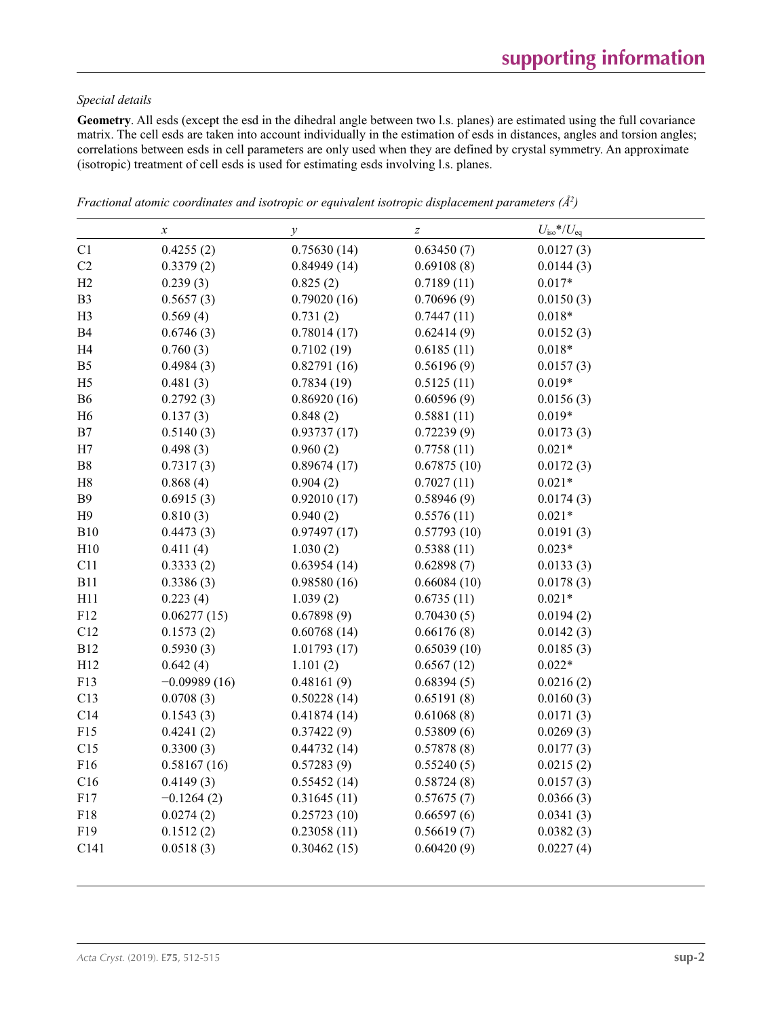### *Special details*

**Geometry**. All esds (except the esd in the dihedral angle between two l.s. planes) are estimated using the full covariance matrix. The cell esds are taken into account individually in the estimation of esds in distances, angles and torsion angles; correlations between esds in cell parameters are only used when they are defined by crystal symmetry. An approximate (isotropic) treatment of cell esds is used for estimating esds involving l.s. planes.

|                | $\boldsymbol{x}$ | $\mathcal{Y}$ | $\boldsymbol{Z}$ | $U_{\rm iso}*/U_{\rm eq}$ |
|----------------|------------------|---------------|------------------|---------------------------|
| C1             | 0.4255(2)        | 0.75630(14)   | 0.63450(7)       | 0.0127(3)                 |
| C2             | 0.3379(2)        | 0.84949(14)   | 0.69108(8)       | 0.0144(3)                 |
| H2             | 0.239(3)         | 0.825(2)      | 0.7189(11)       | $0.017*$                  |
| B <sub>3</sub> | 0.5657(3)        | 0.79020(16)   | 0.70696(9)       | 0.0150(3)                 |
| H <sub>3</sub> | 0.569(4)         | 0.731(2)      | 0.7447(11)       | $0.018*$                  |
| <b>B4</b>      | 0.6746(3)        | 0.78014(17)   | 0.62414(9)       | 0.0152(3)                 |
| H <sub>4</sub> | 0.760(3)         | 0.7102(19)    | 0.6185(11)       | $0.018*$                  |
| B <sub>5</sub> | 0.4984(3)        | 0.82791(16)   | 0.56196(9)       | 0.0157(3)                 |
| H <sub>5</sub> | 0.481(3)         | 0.7834(19)    | 0.5125(11)       | $0.019*$                  |
| <b>B6</b>      | 0.2792(3)        | 0.86920(16)   | 0.60596(9)       | 0.0156(3)                 |
| H <sub>6</sub> | 0.137(3)         | 0.848(2)      | 0.5881(11)       | $0.019*$                  |
| B7             | 0.5140(3)        | 0.93737(17)   | 0.72239(9)       | 0.0173(3)                 |
| H7             | 0.498(3)         | 0.960(2)      | 0.7758(11)       | $0.021*$                  |
| ${\bf B8}$     | 0.7317(3)        | 0.89674(17)   | 0.67875(10)      | 0.0172(3)                 |
| H8             | 0.868(4)         | 0.904(2)      | 0.7027(11)       | $0.021*$                  |
| <b>B9</b>      | 0.6915(3)        | 0.92010(17)   | 0.58946(9)       | 0.0174(3)                 |
| H9             | 0.810(3)         | 0.940(2)      | 0.5576(11)       | $0.021*$                  |
| <b>B10</b>     | 0.4473(3)        | 0.97497(17)   | 0.57793(10)      | 0.0191(3)                 |
| H10            | 0.411(4)         | 1.030(2)      | 0.5388(11)       | $0.023*$                  |
| C11            | 0.3333(2)        | 0.63954(14)   | 0.62898(7)       | 0.0133(3)                 |
| <b>B11</b>     | 0.3386(3)        | 0.98580(16)   | 0.66084(10)      | 0.0178(3)                 |
| H11            | 0.223(4)         | 1.039(2)      | 0.6735(11)       | $0.021*$                  |
| F12            | 0.06277(15)      | 0.67898(9)    | 0.70430(5)       | 0.0194(2)                 |
| C12            | 0.1573(2)        | 0.60768(14)   | 0.66176(8)       | 0.0142(3)                 |
| <b>B12</b>     | 0.5930(3)        | 1.01793(17)   | 0.65039(10)      | 0.0185(3)                 |
| H12            | 0.642(4)         | 1.101(2)      | 0.6567(12)       | $0.022*$                  |
| F13            | $-0.09989(16)$   | 0.48161(9)    | 0.68394(5)       | 0.0216(2)                 |
| C13            | 0.0708(3)        | 0.50228(14)   | 0.65191(8)       | 0.0160(3)                 |
| C14            | 0.1543(3)        | 0.41874(14)   | 0.61068(8)       | 0.0171(3)                 |
| F15            | 0.4241(2)        | 0.37422(9)    | 0.53809(6)       | 0.0269(3)                 |
| C15            | 0.3300(3)        | 0.44732(14)   | 0.57878(8)       | 0.0177(3)                 |
| F16            | 0.58167(16)      | 0.57283(9)    | 0.55240(5)       | 0.0215(2)                 |
| C16            | 0.4149(3)        | 0.55452(14)   | 0.58724(8)       | 0.0157(3)                 |
| F17            | $-0.1264(2)$     | 0.31645(11)   | 0.57675(7)       | 0.0366(3)                 |
| F18            | 0.0274(2)        | 0.25723(10)   | 0.66597(6)       | 0.0341(3)                 |
| F19            | 0.1512(2)        | 0.23058(11)   | 0.56619(7)       | 0.0382(3)                 |
| C141           | 0.0518(3)        | 0.30462(15)   | 0.60420(9)       | 0.0227(4)                 |
|                |                  |               |                  |                           |

*Fractional atomic coordinates and isotropic or equivalent isotropic displacement parameters (Å<sup>2</sup>)*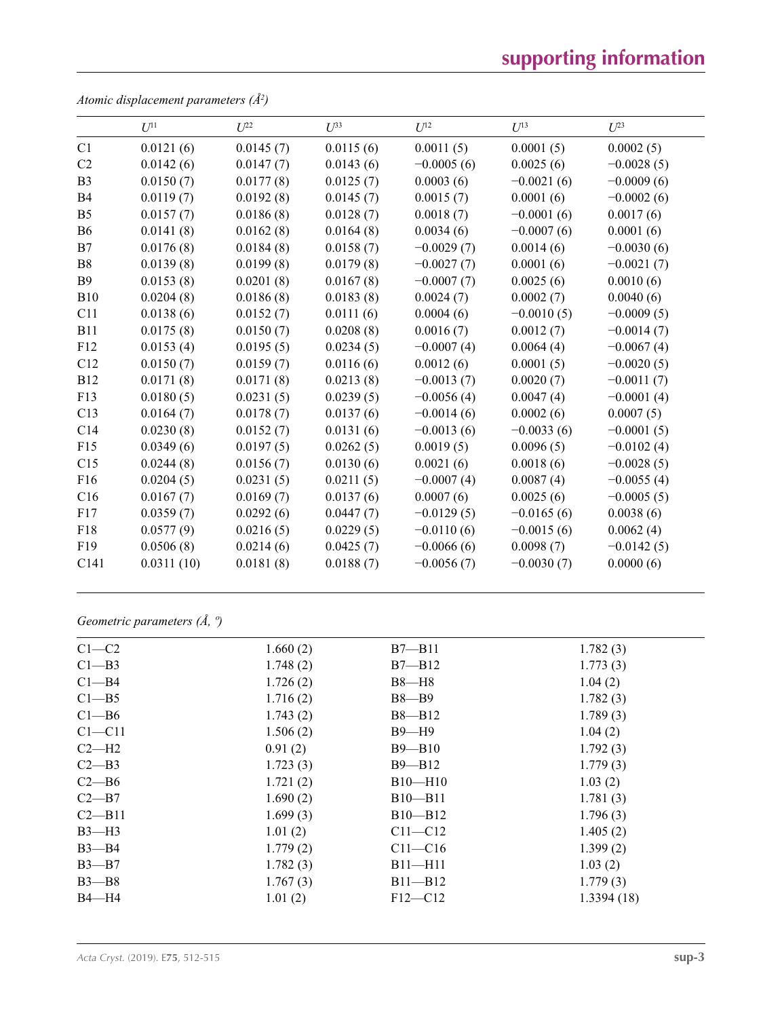# **supporting information**

|                | $U^{11}$   | $U^{22}$  | $U^{33}$  | $U^{12}$     | $U^{13}$     | $U^{23}$     |
|----------------|------------|-----------|-----------|--------------|--------------|--------------|
| C1             | 0.0121(6)  | 0.0145(7) | 0.0115(6) | 0.0011(5)    | 0.0001(5)    | 0.0002(5)    |
| C <sub>2</sub> | 0.0142(6)  | 0.0147(7) | 0.0143(6) | $-0.0005(6)$ | 0.0025(6)    | $-0.0028(5)$ |
| B <sub>3</sub> | 0.0150(7)  | 0.0177(8) | 0.0125(7) | 0.0003(6)    | $-0.0021(6)$ | $-0.0009(6)$ |
| B <sub>4</sub> | 0.0119(7)  | 0.0192(8) | 0.0145(7) | 0.0015(7)    | 0.0001(6)    | $-0.0002(6)$ |
| B <sub>5</sub> | 0.0157(7)  | 0.0186(8) | 0.0128(7) | 0.0018(7)    | $-0.0001(6)$ | 0.0017(6)    |
| B <sub>6</sub> | 0.0141(8)  | 0.0162(8) | 0.0164(8) | 0.0034(6)    | $-0.0007(6)$ | 0.0001(6)    |
| B7             | 0.0176(8)  | 0.0184(8) | 0.0158(7) | $-0.0029(7)$ | 0.0014(6)    | $-0.0030(6)$ |
| B <sub>8</sub> | 0.0139(8)  | 0.0199(8) | 0.0179(8) | $-0.0027(7)$ | 0.0001(6)    | $-0.0021(7)$ |
| <b>B</b> 9     | 0.0153(8)  | 0.0201(8) | 0.0167(8) | $-0.0007(7)$ | 0.0025(6)    | 0.0010(6)    |
| <b>B10</b>     | 0.0204(8)  | 0.0186(8) | 0.0183(8) | 0.0024(7)    | 0.0002(7)    | 0.0040(6)    |
| C11            | 0.0138(6)  | 0.0152(7) | 0.0111(6) | 0.0004(6)    | $-0.0010(5)$ | $-0.0009(5)$ |
| <b>B11</b>     | 0.0175(8)  | 0.0150(7) | 0.0208(8) | 0.0016(7)    | 0.0012(7)    | $-0.0014(7)$ |
| F12            | 0.0153(4)  | 0.0195(5) | 0.0234(5) | $-0.0007(4)$ | 0.0064(4)    | $-0.0067(4)$ |
| C12            | 0.0150(7)  | 0.0159(7) | 0.0116(6) | 0.0012(6)    | 0.0001(5)    | $-0.0020(5)$ |
| <b>B12</b>     | 0.0171(8)  | 0.0171(8) | 0.0213(8) | $-0.0013(7)$ | 0.0020(7)    | $-0.0011(7)$ |
| F13            | 0.0180(5)  | 0.0231(5) | 0.0239(5) | $-0.0056(4)$ | 0.0047(4)    | $-0.0001(4)$ |
| C13            | 0.0164(7)  | 0.0178(7) | 0.0137(6) | $-0.0014(6)$ | 0.0002(6)    | 0.0007(5)    |
| C14            | 0.0230(8)  | 0.0152(7) | 0.0131(6) | $-0.0013(6)$ | $-0.0033(6)$ | $-0.0001(5)$ |
| F15            | 0.0349(6)  | 0.0197(5) | 0.0262(5) | 0.0019(5)    | 0.0096(5)    | $-0.0102(4)$ |
| C15            | 0.0244(8)  | 0.0156(7) | 0.0130(6) | 0.0021(6)    | 0.0018(6)    | $-0.0028(5)$ |
| F16            | 0.0204(5)  | 0.0231(5) | 0.0211(5) | $-0.0007(4)$ | 0.0087(4)    | $-0.0055(4)$ |
| C16            | 0.0167(7)  | 0.0169(7) | 0.0137(6) | 0.0007(6)    | 0.0025(6)    | $-0.0005(5)$ |
| F17            | 0.0359(7)  | 0.0292(6) | 0.0447(7) | $-0.0129(5)$ | $-0.0165(6)$ | 0.0038(6)    |
| F18            | 0.0577(9)  | 0.0216(5) | 0.0229(5) | $-0.0110(6)$ | $-0.0015(6)$ | 0.0062(4)    |
| F19            | 0.0506(8)  | 0.0214(6) | 0.0425(7) | $-0.0066(6)$ | 0.0098(7)    | $-0.0142(5)$ |
| C141           | 0.0311(10) | 0.0181(8) | 0.0188(7) | $-0.0056(7)$ | $-0.0030(7)$ | 0.0000(6)    |

*Atomic displacement parameters (Å2 )*

*Geometric parameters (Å, º)*

| $C1-C2$    | 1.660(2) | $B7 - B11$  | 1.782(3)   |
|------------|----------|-------------|------------|
| $C1 - B3$  | 1.748(2) | $B7 - B12$  | 1.773(3)   |
| $C1 - B4$  | 1.726(2) | $B8 - H8$   | 1.04(2)    |
| $C1 - B5$  | 1.716(2) | $B8 - B9$   | 1.782(3)   |
| $C1 - B6$  | 1.743(2) | $B8 - B12$  | 1.789(3)   |
| $C1 - C11$ | 1.506(2) | $B9 - H9$   | 1.04(2)    |
| $C2-H2$    | 0.91(2)  | $B9 - B10$  | 1.792(3)   |
| $C2 - B3$  | 1.723(3) | $B9 - B12$  | 1.779(3)   |
| $C2 - B6$  | 1.721(2) | $B10-H10$   | 1.03(2)    |
| $C2 - B7$  | 1.690(2) | $B10 - B11$ | 1.781(3)   |
| $C2 - B11$ | 1.699(3) | $B10 - B12$ | 1.796(3)   |
| $B3-H3$    | 1.01(2)  | $C11 - C12$ | 1.405(2)   |
| $B3 - B4$  | 1.779(2) | $C11-C16$   | 1.399(2)   |
| $B3 - B7$  | 1.782(3) | $B11 - H11$ | 1.03(2)    |
| $B3 - B8$  | 1.767(3) | $B11 - B12$ | 1.779(3)   |
| $B4 - H4$  | 1.01(2)  | $F12 - C12$ | 1.3394(18) |
|            |          |             |            |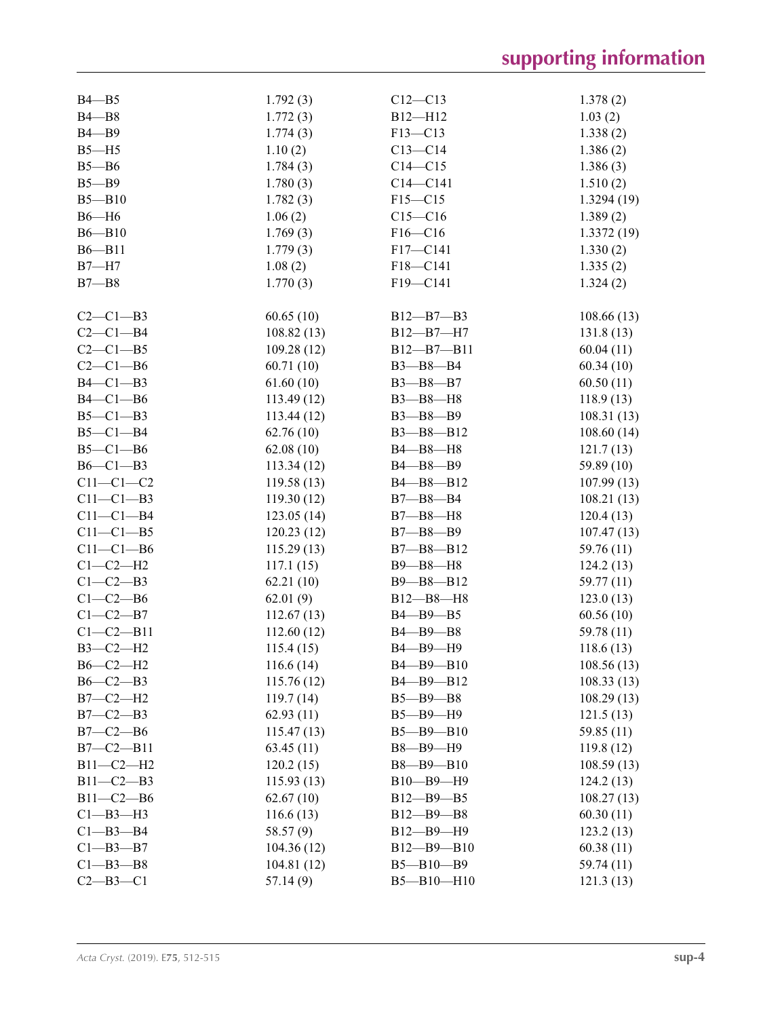| $B4 - B5$       | 1.792(3)   | $C12 - C13$      | 1.378(2)   |
|-----------------|------------|------------------|------------|
| $B4 - B8$       | 1.772(3)   | B12-H12          | 1.03(2)    |
| $B4 - B9$       | 1.774(3)   | $F13 - C13$      | 1.338(2)   |
| $B5 - H5$       | 1.10(2)    | $C13 - C14$      | 1.386(2)   |
| $B5 - B6$       | 1.784(3)   | $C14 - C15$      | 1.386(3)   |
| $B5 - B9$       | 1.780(3)   | $C14 - C141$     | 1.510(2)   |
| $B5 - B10$      | 1.782(3)   | $F15 - C15$      | 1.3294(19) |
| $B6 - H6$       | 1.06(2)    | $C15 - C16$      | 1.389(2)   |
| $B6 - B10$      | 1.769(3)   | $F16 - C16$      | 1.3372(19) |
| $B6 - B11$      | 1.779(3)   | F17-C141         | 1.330(2)   |
| $B7 - H7$       | 1.08(2)    | F18-C141         | 1.335(2)   |
| $B7 - B8$       | 1.770(3)   | F19-C141         | 1.324(2)   |
|                 |            |                  |            |
| $C2-C1-B3$      | 60.65(10)  | B12-B7-B3        | 108.66(13) |
| $C2-C1-B4$      | 108.82(13) | B12-B7-H7        | 131.8(13)  |
| $C2-C1-B5$      | 109.28(12) | $B12 - B7 - B11$ | 60.04(11)  |
| $C2-C1-B6$      | 60.71(10)  | B3-B8-B4         | 60.34(10)  |
|                 |            |                  |            |
| $B4-C1-B3$      | 61.60(10)  | $B3 - B8 - B7$   | 60.50(11)  |
| $B4-C1-B6$      | 113.49(12) | B3-B8-H8         | 118.9(13)  |
| $B5-C1-B3$      | 113.44(12) | $B3 - B8 - B9$   | 108.31(13) |
| $B5-C1-B4$      | 62.76(10)  | $B3 - B8 - B12$  | 108.60(14) |
| $B5-C1-B6$      | 62.08(10)  | B4-B8-H8         | 121.7(13)  |
| $B6-C1-B3$      | 113.34(12) | B4-B8-B9         | 59.89 (10) |
| $C11-C1-C2$     | 119.58(13) | B4-B8-B12        | 107.99(13) |
| $C11-C1-B3$     | 119.30(12) | $B7 - B8 - B4$   | 108.21(13) |
| $C11-C1-B4$     | 123.05(14) | $B7 - B8 - H8$   | 120.4(13)  |
| $C11-C1-B5$     | 120.23(12) | $B7 - B8 - B9$   | 107.47(13) |
| $C11-C1-B6$     | 115.29(13) | B7-B8-B12        | 59.76 (11) |
| $C1-C2-H2$      | 117.1(15)  | B9-B8-H8         | 124.2(13)  |
| $C1-C2-B3$      | 62.21(10)  | $B9 - B8 - B12$  | 59.77 (11) |
| $C1-C2-B6$      | 62.01(9)   | $B12 - B8 - H8$  | 123.0(13)  |
| $C1-C2-B7$      | 112.67(13) | B4-B9-B5         | 60.56(10)  |
| $C1 - C2 - B11$ | 112.60(12) | B4-B9-B8         | 59.78 (11) |
| B3-C2-H2        | 115.4(15)  | B4-B9-H9         | 118.6(13)  |
| $B6-C2-H2$      | 116.6(14)  | B4-B9-B10        | 108.56(13) |
| $B6-C2-B3$      | 115.76(12) | B4-B9-B12        | 108.33(13) |
| $B7-C2-H2$      | 119.7(14)  | $B5 - B9 - B8$   | 108.29(13) |
| $B7-C2-B3$      | 62.93(11)  | B5-B9-H9         | 121.5(13)  |
| $B7-C2-B6$      | 115.47(13) | $B5 - B9 - B10$  | 59.85 (11) |
| $B7-C2-B11$     | 63.45(11)  | B8-B9-H9         | 119.8(12)  |
| $B11-C2-H2$     | 120.2(15)  | B8-B9-B10        |            |
| $B11-C2-B3$     |            | B10-B9-H9        | 108.59(13) |
|                 | 115.93(13) |                  | 124.2(13)  |
| $B11-C2-B6$     | 62.67(10)  | $B12 - B9 - B5$  | 108.27(13) |
| $C1 - B3 - H3$  | 116.6(13)  | $B12 - B9 - B8$  | 60.30(11)  |
| $C1 - B3 - B4$  | 58.57 (9)  | B12-B9-H9        | 123.2(13)  |
| $C1 - B3 - B7$  | 104.36(12) | $B12 - B9 - B10$ | 60.38(11)  |
| $C1 - B3 - B8$  | 104.81(12) | $B5 - B10 - B9$  | 59.74 (11) |
| $C2 - B3 - C1$  | 57.14(9)   | $B5 - B10 - H10$ | 121.3(13)  |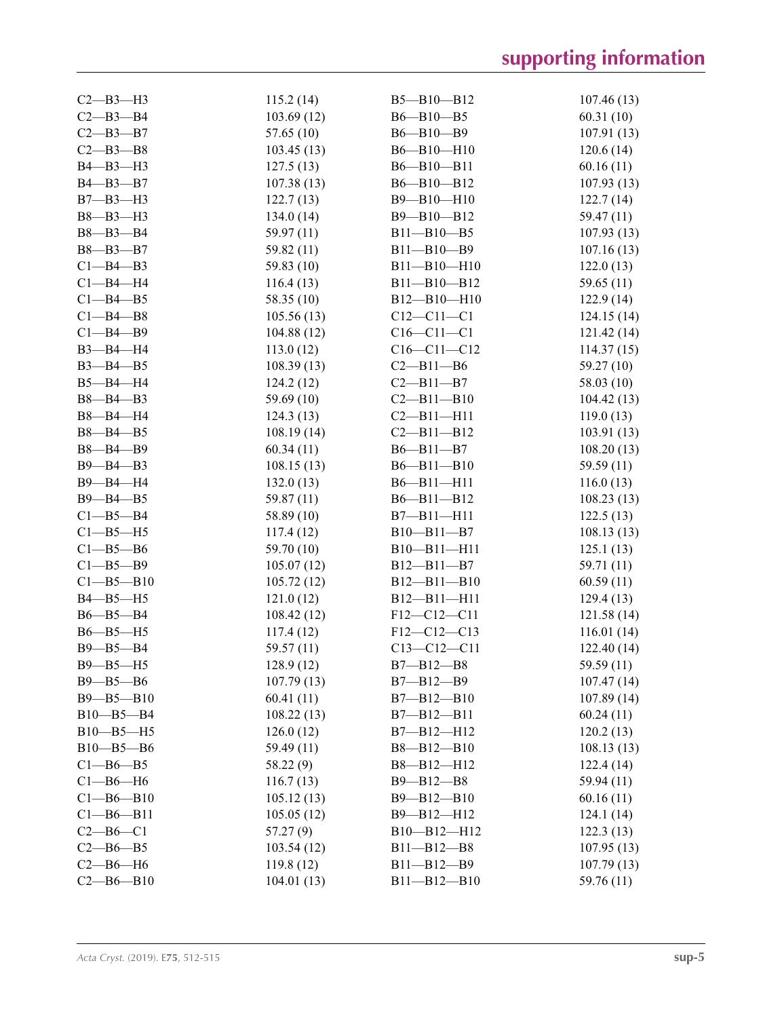| $C2 - B3 - H3$  | 115.2(14)  | $B5 - B10 - B12$  | 107.46(13)              |
|-----------------|------------|-------------------|-------------------------|
| $C2 - B3 - B4$  | 103.69(12) | $B6 - B10 - B5$   | 60.31(10)               |
| $C2 - B3 - B7$  | 57.65 (10) | B6-B10-B9         | 107.91(13)              |
| $C2 - B3 - B8$  | 103.45(13) | $B6 - B10 - H10$  | 120.6(14)               |
| B4-B3-H3        | 127.5(13)  | B6-B10-B11        | 60.16(11)               |
| B4-B3-B7        | 107.38(13) | $B6 - B10 - B12$  | 107.93(13)              |
| $B7 - B3 - H3$  | 122.7(13)  | B9-B10-H10        | 122.7(14)               |
| B8-B3-H3        | 134.0(14)  | B9-B10-B12        | 59.47 (11)              |
| $B8 - B3 - B4$  | 59.97 (11) | $B11 - B10 - B5$  | 107.93(13)              |
| B8-B3-B7        | 59.82 (11) | $B11 - B10 - B9$  | 107.16(13)              |
| $C1 - B4 - B3$  | 59.83 (10) | $B11 - B10 - H10$ | 122.0(13)               |
| $Cl$ -B4-H4     | 116.4(13)  | $B11 - B10 - B12$ | 59.65 (11)              |
| $C1 - B4 - B5$  | 58.35 (10) | $B12 - B10 - H10$ | 122.9(14)               |
| $C1 - B4 - B8$  | 105.56(13) | $C12 - C11 - C1$  | 124.15(14)              |
| $C1 - B4 - B9$  | 104.88(12) | $C16 - C11 - C1$  | 121.42(14)              |
| B3-B4-H4        | 113.0(12)  | $C16 - C11 - C12$ | 114.37(15)              |
| $B3 - B4 - B5$  | 108.39(13) | $C2 - B11 - B6$   | 59.27(10)               |
| $B5 - B4 - H4$  | 124.2(12)  | $C2 - B11 - B7$   | 58.03 (10)              |
| B8-B4-B3        | 59.69 (10) | $C2 - B11 - B10$  | 104.42(13)              |
| B8-B4-H4        | 124.3(13)  | $C2 - B11 - H11$  |                         |
| B8-B4-B5        |            | $C2 - B11 - B12$  | 119.0(13)<br>103.91(13) |
| B8-B4-B9        | 108.19(14) | $B6 - B11 - B7$   |                         |
|                 | 60.34(11)  | $B6 - B11 - B10$  | 108.20(13)              |
| $B9 - B4 - B3$  | 108.15(13) |                   | 59.59 (11)              |
| B9-B4-H4        | 132.0(13)  | $B6 - B11 - H11$  | 116.0(13)               |
| B9-B4-B5        | 59.87 (11) | $B6 - B11 - B12$  | 108.23(13)              |
| $C1 - B5 - B4$  | 58.89 (10) | $B7 - B11 - H11$  | 122.5(13)               |
| $C1 - B5 - H5$  | 117.4(12)  | $B10 - B11 - B7$  | 108.13(13)              |
| $C1 - B5 - B6$  | 59.70 (10) | B10-B11-H11       | 125.1(13)               |
| $C1 - B5 - B9$  | 105.07(12) | $B12 - B11 - B7$  | 59.71 (11)              |
| $C1 - B5 - B10$ | 105.72(12) | $B12 - B11 - B10$ | 60.59(11)               |
| $B4 - B5 - H5$  | 121.0(12)  | $B12 - B11 - H11$ | 129.4(13)               |
| $B6 - B5 - B4$  | 108.42(12) | F12-C12-C11       | 121.58 (14)             |
| $B6 - B5 - H5$  | 117.4(12)  | F12-C12-C13       | 116.01(14)              |
| $B9 - B5 - B4$  | 59.57 (11) | $C13 - C12 - C11$ | 122.40 (14)             |
| $B9 - B5 - H5$  | 128.9(12)  | $B7 - B12 - B8$   | 59.59 (11)              |
| $B9 - B5 - B6$  | 107.79(13) | $B7 - B12 - B9$   | 107.47(14)              |
| B9-B5-B10       | 60.41(11)  | B7-B12-B10        | 107.89(14)              |
| $B10 - B5 - B4$ | 108.22(13) | $B7 - B12 - B11$  | 60.24(11)               |
| B10-B5-H5       | 126.0(12)  | $B7 - B12 - H12$  | 120.2(13)               |
| $B10 - B5 - B6$ | 59.49 (11) | B8-B12-B10        | 108.13(13)              |
| $C1 - B6 - B5$  | 58.22 (9)  | B8-B12-H12        | 122.4(14)               |
| $Cl$ -B6-H6     | 116.7(13)  | $B9 - B12 - B8$   | 59.94 (11)              |
| $C1 - B6 - B10$ | 105.12(13) | B9-B12-B10        | 60.16(11)               |
| $C1 - B6 - B11$ | 105.05(12) | B9-B12-H12        | 124.1(14)               |
| $C2 - B6 - C1$  | 57.27(9)   | B10-B12-H12       | 122.3(13)               |
| $C2 - B6 - B5$  | 103.54(12) | $B11 - B12 - B8$  | 107.95(13)              |
| $C2 - B6 - H6$  | 119.8(12)  | $B11 - B12 - B9$  | 107.79(13)              |
| $C2 - B6 - B10$ | 104.01(13) | $B11 - B12 - B10$ | 59.76 (11)              |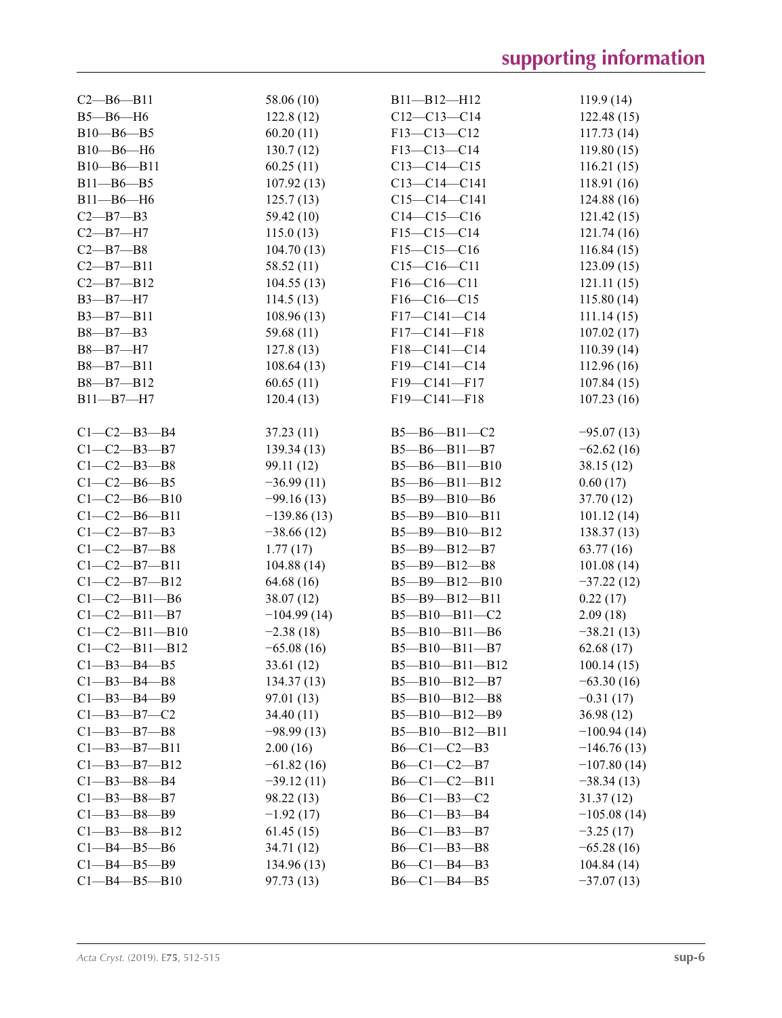| $C2 - B6 - B11$       | 58.06 (10)    | $B11 - B12 - H12$      | 119.9(14)     |
|-----------------------|---------------|------------------------|---------------|
| $B5 - B6 - H6$        | 122.8(12)     | $C12-C13-C14$          | 122.48(15)    |
| $B10 - B6 - B5$       | 60.20(11)     | F13-C13-C12            | 117.73(14)    |
| $B10 - B6 - H6$       | 130.7(12)     | F13-C13-C14            | 119.80(15)    |
| $B10 - B6 - B11$      | 60.25(11)     | $C13-C14-C15$          | 116.21(15)    |
| $B11 - B6 - B5$       | 107.92(13)    | $C13-C14-C141$         | 118.91(16)    |
| $B11 - B6 - H6$       | 125.7(13)     | $C15-C14-C141$         | 124.88 (16)   |
| $C2 - B7 - B3$        | 59.42 (10)    | $C14-C15-C16$          | 121.42(15)    |
| $C2 - B7 - H7$        | 115.0(13)     | $F15-C15-C14$          | 121.74(16)    |
| $C2 - B7 - B8$        | 104.70(13)    | $F15-C15-C16$          | 116.84(15)    |
| $C2 - B7 - B11$       | 58.52 (11)    | $C15 - C16 - C11$      | 123.09(15)    |
| $C2 - B7 - B12$       | 104.55(13)    | $F16-C16-C11$          | 121.11(15)    |
| $B3 - B7 - H7$        | 114.5(13)     | F16-C16-C15            | 115.80(14)    |
| $B3 - B7 - B11$       | 108.96(13)    | $F17-C141-C14$         | 111.14(15)    |
| $B8 - B7 - B3$        | 59.68 (11)    | $F17-C141-F18$         | 107.02(17)    |
| B8-B7-H7              | 127.8(13)     | $F18-C141-C14$         | 110.39(14)    |
| $B8 - B7 - B11$       | 108.64(13)    | $F19-C141-C14$         | 112.96(16)    |
| $B8 - B7 - B12$       | 60.65(11)     | F19-C141-F17           | 107.84(15)    |
| $B11 - B7 - H7$       | 120.4(13)     | F19-C141-F18           | 107.23(16)    |
|                       |               |                        |               |
| $C1 - C2 - B3 - B4$   | 37.23(11)     | $B5 - B6 - B11 - C2$   | $-95.07(13)$  |
| $C1-C2-B3-B7$         | 139.34(13)    | $B5 - B6 - B11 - B7$   | $-62.62(16)$  |
| $C1 - C2 - B3 - B8$   | 99.11 (12)    | $B5 - B6 - B11 - B10$  | 38.15(12)     |
| $C1-C2-B6-B5$         | $-36.99(11)$  | $B5 - B6 - B11 - B12$  | 0.60(17)      |
| $C1 - C2 - B6 - B10$  |               |                        |               |
|                       | $-99.16(13)$  | B5-B9-B10-B6           | 37.70 (12)    |
| $C1 - C2 - B6 - B11$  | $-139.86(13)$ | B5-B9-B10-B11          | 101.12(14)    |
| $C1 - C2 - B7 - B3$   | $-38.66(12)$  | $B5 - B9 - B10 - B12$  | 138.37(13)    |
| $C1 - C2 - B7 - B8$   | 1.77(17)      | $B5 - B9 - B12 - B7$   | 63.77(16)     |
| $C1 - C2 - B7 - B11$  | 104.88(14)    | B5-B9-B12-B8           | 101.08(14)    |
| $C1 - C2 - B7 - B12$  | 64.68 (16)    | $B5 - B9 - B12 - B10$  | $-37.22(12)$  |
| $C1 - C2 - B11 - B6$  | 38.07(12)     | $B5 - B9 - B12 - B11$  | 0.22(17)      |
| $C1 - C2 - B11 - B7$  | $-104.99(14)$ | $B5 - B10 - B11 - C2$  | 2.09(18)      |
| $C1 - C2 - B11 - B10$ | $-2.38(18)$   | $B5 - B10 - B11 - B6$  | $-38.21(13)$  |
| $C1 - C2 - B11 - B12$ | $-65.08(16)$  | $B5 - B10 - B11 - B7$  | 62.68(17)     |
| $C1 - B3 - B4 - B5$   | 33.61 (12)    | $B5 - B10 - B11 - B12$ | 100.14(15)    |
| $C1 - B3 - B4 - B8$   | 134.37(13)    | $B5 - B10 - B12 - B7$  | $-63.30(16)$  |
| $C1 - B3 - B4 - B9$   | 97.01 (13)    | $B5 - B10 - B12 - B8$  | $-0.31(17)$   |
| $C1 - B3 - B7 - C2$   | 34.40(11)     | $B5 - B10 - B12 - B9$  | 36.98 (12)    |
| $C1 - B3 - B7 - B8$   | $-98.99(13)$  | $B5 - B10 - B12 - B11$ | $-100.94(14)$ |
| $C1 - B3 - B7 - B11$  | 2.00(16)      | $B6-C1-C2-B3$          | $-146.76(13)$ |
| $C1 - B3 - B7 - B12$  | $-61.82(16)$  | $B6-C1-C2-B7$          | $-107.80(14)$ |
| $C1 - B3 - B8 - B4$   | $-39.12(11)$  | $B6-C1-C2-B11$         | $-38.34(13)$  |
| $C1 - B3 - B8 - B7$   | 98.22 (13)    | B6-C1-B3-C2            | 31.37(12)     |
| $C1 - B3 - B8 - B9$   | $-1.92(17)$   | $B6-C1-B3-B4$          | $-105.08(14)$ |
| $C1 - B3 - B8 - B12$  | 61.45(15)     | $B6-C1-B3-B7$          | $-3.25(17)$   |
| $C1 - B4 - B5 - B6$   | 34.71 (12)    | $B6-C1-B3-B8$          | $-65.28(16)$  |
| $C1 - B4 - B5 - B9$   | 134.96 (13)   | $B6-C1-B4-B3$          | 104.84(14)    |
| $C1 - B4 - B5 - B10$  | 97.73 (13)    | $B6-C1-B4-B5$          | $-37.07(13)$  |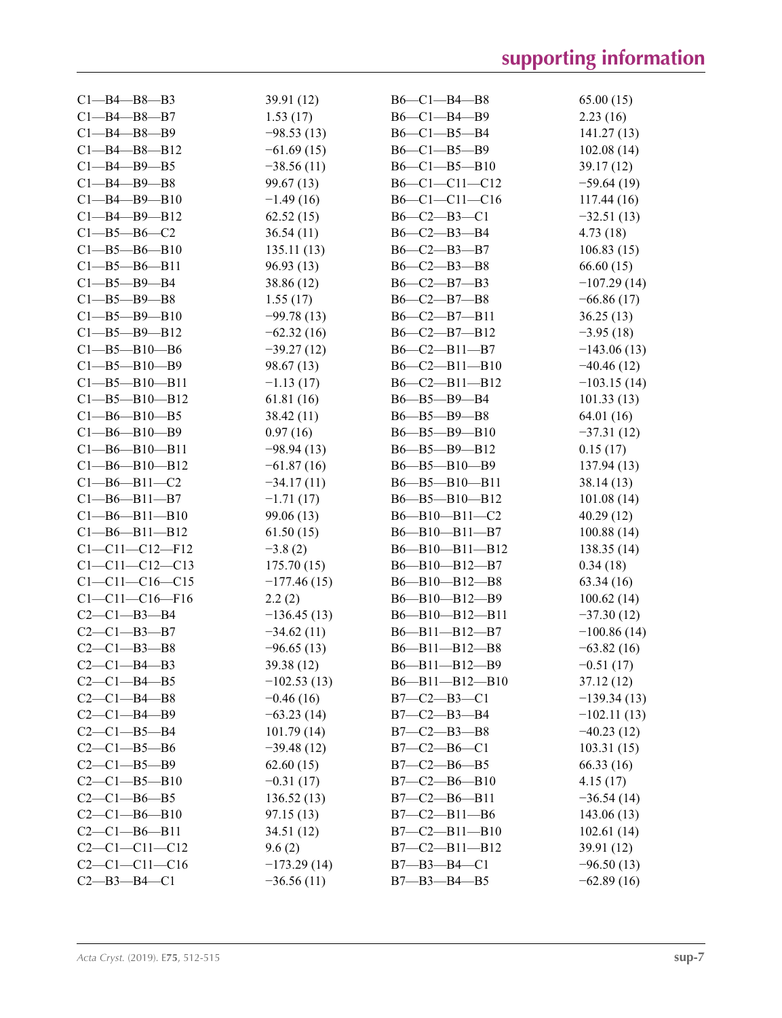| $C1 - B4 - B8 - B3$                           | 39.91 (12)    | $B6-C1-B4-B8$          | 65.00(15)     |
|-----------------------------------------------|---------------|------------------------|---------------|
| $C1 - B4 - B8 - B7$                           | 1.53(17)      | $B6 - C1 - B4 - B9$    | 2.23(16)      |
| $C1 - B4 - B8 - B9$                           | $-98.53(13)$  | $B6 - C1 - B5 - B4$    | 141.27(13)    |
| $C1 - B4 - B8 - B12$                          | $-61.69(15)$  | $B6 - C1 - B5 - B9$    | 102.08(14)    |
| $Cl$ -B4-B9-B5                                | $-38.56(11)$  | $B6-C1-B5-B10$         | 39.17(12)     |
| $C1 - B4 - B9 - B8$                           | 99.67(13)     | $B6-C1-C11-C12$        | $-59.64(19)$  |
| $C1 - B4 - B9 - B10$                          | $-1.49(16)$   | B6-C1-C11-C16          | 117.44(16)    |
| $C1 - B4 - B9 - B12$                          | 62.52(15)     | $B6 - C2 - B3 - C1$    | $-32.51(13)$  |
| $C1 - B5 - B6 - C2$                           | 36.54(11)     | $B6 - C2 - B3 - B4$    | 4.73(18)      |
| $C1 - B5 - B6 - B10$                          | 135.11(13)    | $B6 - C2 - B3 - B7$    | 106.83(15)    |
| $C1 - B5 - B6 - B11$                          | 96.93 (13)    | $B6 - C2 - B3 - B8$    | 66.60(15)     |
| $Cl$ -B5-B9-B4                                | 38.86 (12)    | $B6-C2-B7-B3$          | $-107.29(14)$ |
| $C1 - B5 - B9 - B8$                           | 1.55(17)      | $B6 - C2 - B7 - B8$    | $-66.86(17)$  |
| $C1 - B5 - B9 - B10$                          | $-99.78(13)$  | $B6-C2-B7-B11$         | 36.25(13)     |
| $C1 - B5 - B9 - B12$                          | $-62.32(16)$  | B6-C2-B7-B12           | $-3.95(18)$   |
| $C1 - B5 - B10 - B6$                          | $-39.27(12)$  | $B6-C2-B11-B7$         | $-143.06(13)$ |
| $C1 - B5 - B10 - B9$                          | 98.67(13)     | $B6 - C2 - B11 - B10$  | $-40.46(12)$  |
| $C1 - B5 - B10 - B11$                         | $-1.13(17)$   | $B6-C2-B11-B12$        | $-103.15(14)$ |
| $C1 - B5 - B10 - B12$                         | 61.81(16)     | $B6 - B5 - B9 - B4$    | 101.33(13)    |
| $C1 - B6 - B10 - B5$                          | 38.42 (11)    | $B6 - B5 - B9 - B8$    | 64.01 (16)    |
| $C1 - B6 - B10 - B9$                          | 0.97(16)      | $B6 - B5 - B9 - B10$   | $-37.31(12)$  |
| $C1 - B6 - B10 - B11$                         | $-98.94(13)$  | $B6 - B5 - B9 - B12$   | 0.15(17)      |
| $C1 - B6 - B10 - B12$                         | $-61.87(16)$  | $B6 - B5 - B10 - B9$   | 137.94(13)    |
| $C1 - B6 - B11 - C2$                          | $-34.17(11)$  | $B6 - B5 - B10 - B11$  | 38.14 (13)    |
| $C1 - B6 - B11 - B7$                          | $-1.71(17)$   | B6-B5-B10-B12          | 101.08(14)    |
| $C1 - B6 - B11 - B10$                         | 99.06 (13)    | $B6 - B10 - B11 - C2$  | 40.29(12)     |
| $C1 - B6 - B11 - B12$                         | 61.50(15)     | B6-B10-B11-B7          | 100.88(14)    |
| $C1 - C11 - C12 - F12$                        | $-3.8(2)$     | B6-B10-B11-B12         | 138.35(14)    |
| $C1 - C11 - C12 - C13$                        | 175.70(15)    | B6-B10-B12-B7          | 0.34(18)      |
| $C1 - C11 - C16 - C15$                        | $-177.46(15)$ | $B6 - B10 - B12 - B8$  |               |
|                                               |               |                        | 63.34(16)     |
| $C1 - C11 - C16 - F16$<br>$C2 - C1 - B3 - B4$ | 2.2(2)        | $B6 - B10 - B12 - B9$  | 100.62(14)    |
|                                               | $-136.45(13)$ | B6-B10-B12-B11         | $-37.30(12)$  |
| $C2-C1-B3-B7$                                 | $-34.62(11)$  | $B6 - B11 - B12 - B7$  | $-100.86(14)$ |
| $C2 - C1 - B3 - B8$                           | $-96.65(13)$  | B6-B11-B12-B8          | $-63.82(16)$  |
| $C2-C1-B4-B3$                                 | 39.38 (12)    | $B6 - B11 - B12 - B9$  | $-0.51(17)$   |
| $C2-C1-B4-B5$                                 | $-102.53(13)$ | $B6 - B11 - B12 - B10$ | 37.12(12)     |
| $C2-C1-B4-B8$                                 | $-0.46(16)$   | $B7 - C2 - B3 - C1$    | $-139.34(13)$ |
| $C2 - C1 - B4 - B9$                           | $-63.23(14)$  | B7-C2-B3-B4            | $-102.11(13)$ |
| $C2 - C1 - B5 - B4$                           | 101.79(14)    | $B7-C2-B3-B8$          | $-40.23(12)$  |
| $C2-C1-B5-B6$                                 | $-39.48(12)$  | $B7-C2-B6-C1$          | 103.31(15)    |
| $C2 - C1 - B5 - B9$                           | 62.60(15)     | $B7-C2-B6-B5$          | 66.33(16)     |
| $C2 - C1 - B5 - B10$                          | $-0.31(17)$   | $B7-C2-B6-B10$         | 4.15(17)      |
| $C2 - C1 - B6 - B5$                           | 136.52(13)    | $B7-C2-B6-B11$         | $-36.54(14)$  |
| $C2-C1-B6-B10$                                | 97.15(13)     | $B7-C2-B11-B6$         | 143.06(13)    |
| $C2-C1-B6-B11$                                | 34.51(12)     | $B7-C2-B11-B10$        | 102.61(14)    |
| $C2-C1-C11-C12$                               | 9.6(2)        | $B7-C2-B11-B12$        | 39.91 (12)    |
| $C2-C1-C11-C16$                               | $-173.29(14)$ | $B7 - B3 - B4 - C1$    | $-96.50(13)$  |
| $C2-B3-B4-C1$                                 | $-36.56(11)$  | $B7 - B3 - B4 - B5$    | $-62.89(16)$  |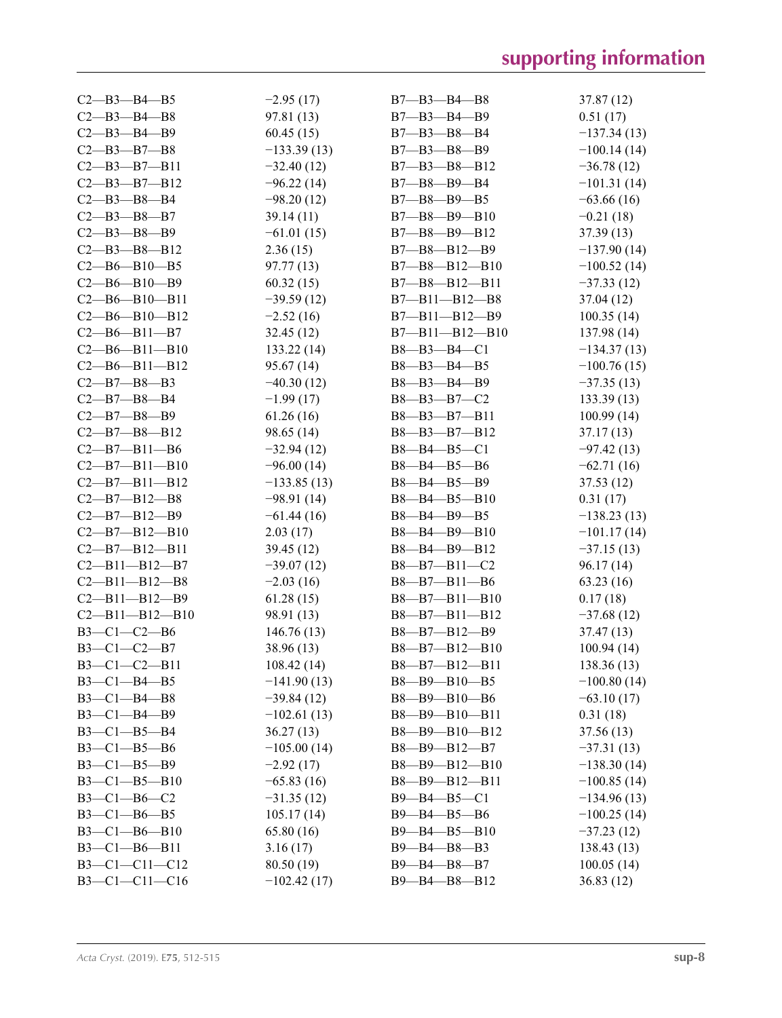| $C2 - B3 - B4 - B5$    | $-2.95(17)$   | $B7 - B3 - B4 - B8$    | 37.87 (12)    |
|------------------------|---------------|------------------------|---------------|
| $C2 - B3 - B4 - B8$    | 97.81 (13)    | $B7 - B3 - B4 - B9$    | 0.51(17)      |
| $C2 - B3 - B4 - B9$    | 60.45(15)     | $B7 - B3 - B8 - B4$    | $-137.34(13)$ |
| $C2 - B3 - B7 - B8$    | $-133.39(13)$ | $B7 - B3 - B8 - B9$    | $-100.14(14)$ |
| $C2 - B3 - B7 - B11$   | $-32.40(12)$  | $B7 - B3 - B8 - B12$   | $-36.78(12)$  |
| $C2 - B3 - B7 - B12$   | $-96.22(14)$  | $B7 - B8 - B9 - B4$    | $-101.31(14)$ |
| $C2 - B3 - B8 - B4$    | $-98.20(12)$  | $B7 - B8 - B9 - B5$    | $-63.66(16)$  |
| $C2 - B3 - B8 - B7$    | 39.14(11)     | $B7 - B8 - B9 - B10$   | $-0.21(18)$   |
| $C2 - B3 - B8 - B9$    | $-61.01(15)$  | $B7 - B8 - B9 - B12$   | 37.39(13)     |
| $C2 - B3 - B8 - B12$   | 2.36(15)      | $B7 - B8 - B12 - B9$   | $-137.90(14)$ |
| $C2 - B6 - B10 - B5$   | 97.77(13)     | B7-B8-B12-B10          | $-100.52(14)$ |
| $C2 - B6 - B10 - B9$   | 60.32(15)     | B7-B8-B12-B11          | $-37.33(12)$  |
| $C2 - B6 - B10 - B11$  | $-39.59(12)$  | $B7 - B11 - B12 - B8$  | 37.04 (12)    |
| $C2 - B6 - B10 - B12$  | $-2.52(16)$   | $B7 - B11 - B12 - B9$  | 100.35(14)    |
| $C2 - B6 - B11 - B7$   | 32.45(12)     | $B7 - B11 - B12 - B10$ | 137.98 (14)   |
| $C2 - B6 - B11 - B10$  | 133.22(14)    | $B8 - B3 - B4 - C1$    | $-134.37(13)$ |
| $C2 - B6 - B11 - B12$  | 95.67(14)     | $B8 - B3 - B4 - B5$    | $-100.76(15)$ |
| $C2 - B7 - B8 - B3$    | $-40.30(12)$  | $B8 - B3 - B4 - B9$    | $-37.35(13)$  |
| $C2 - B7 - B8 - B4$    | $-1.99(17)$   | B8-B3-B7-C2            | 133.39(13)    |
| $C2 - B7 - B8 - B9$    | 61.26(16)     | B8-B3-B7-B11           | 100.99(14)    |
| $C2 - B7 - B8 - B12$   | 98.65 (14)    | $B8 - B3 - B7 - B12$   | 37.17(13)     |
| $C2 - B7 - B11 - B6$   |               | $B8 - B4 - B5 - C1$    |               |
| $C2 - B7 - B11 - B10$  | $-32.94(12)$  |                        | $-97.42(13)$  |
|                        | $-96.00(14)$  | $B8 - B4 - B5 - B6$    | $-62.71(16)$  |
| $C2 - B7 - B11 - B12$  | $-133.85(13)$ | $B8 - B4 - B5 - B9$    | 37.53 (12)    |
| $C2 - B7 - B12 - B8$   | $-98.91(14)$  | $B8 - B4 - B5 - B10$   | 0.31(17)      |
| $C2 - B7 - B12 - B9$   | $-61.44(16)$  | $B8 - B4 - B9 - B5$    | $-138.23(13)$ |
| $C2 - B7 - B12 - B10$  | 2.03(17)      | $B8 - B4 - B9 - B10$   | $-101.17(14)$ |
| $C2 - B7 - B12 - B11$  | 39.45(12)     | $B8 - B4 - B9 - B12$   | $-37.15(13)$  |
| $C2 - B11 - B12 - B7$  | $-39.07(12)$  | $B8 - B7 - B11 - C2$   | 96.17(14)     |
| $C2 - B11 - B12 - B8$  | $-2.03(16)$   | $B8 - B7 - B11 - B6$   | 63.23(16)     |
| $C2 - B11 - B12 - B9$  | 61.28(15)     | $B8 - B7 - B11 - B10$  | 0.17(18)      |
| $C2 - B11 - B12 - B10$ | 98.91 (13)    | $B8 - B7 - B11 - B12$  | $-37.68(12)$  |
| $B3-C1-C2-B6$          | 146.76 (13)   | $B8 - B7 - B12 - B9$   | 37.47(13)     |
| $B3 - C1 - C2 - B7$    | 38.96 (13)    | $B8 - B7 - B12 - B10$  | 100.94(14)    |
| $B3-C1-C2-B11$         | 108.42(14)    | $B8 - B7 - B12 - B11$  | 138.36(13)    |
| $B3-C1-B4-B5$          | $-141.90(13)$ | $B8 - B9 - B10 - B5$   | $-100.80(14)$ |
| B3-C1-B4-B8            | $-39.84(12)$  | B8-B9-B10-B6           | $-63.10(17)$  |
| $B3 - C1 - B4 - B9$    | $-102.61(13)$ | B8-B9-B10-B11          | 0.31(18)      |
| $B3-C1-B5-B4$          | 36.27(13)     | $B8 - B9 - B10 - B12$  | 37.56(13)     |
| $B3-C1-B5-B6$          | $-105.00(14)$ | $B8 - B9 - B12 - B7$   | $-37.31(13)$  |
| $B3-C1-B5-B9$          | $-2.92(17)$   | $B8 - B9 - B12 - B10$  | $-138.30(14)$ |
| $B3 - C1 - B5 - B10$   | $-65.83(16)$  | B8-B9-B12-B11          | $-100.85(14)$ |
| $B3-C1-B6-C2$          | $-31.35(12)$  | $B9 - B4 - B5 - C1$    | $-134.96(13)$ |
| $B3-C1-B6-B5$          | 105.17(14)    | $B9 - B4 - B5 - B6$    | $-100.25(14)$ |
| $B3-C1-B6-B10$         | 65.80 (16)    | $B9 - B4 - B5 - B10$   | $-37.23(12)$  |
| $B3-C1-B6-B11$         | 3.16(17)      | B9-B4-B8-B3            | 138.43(13)    |
| $B3-C1-C11-C12$        | 80.50 (19)    | $B9 - B4 - B8 - B7$    | 100.05(14)    |
| $B3-C1-C11-C16$        | $-102.42(17)$ | B9-B4-B8-B12           | 36.83(12)     |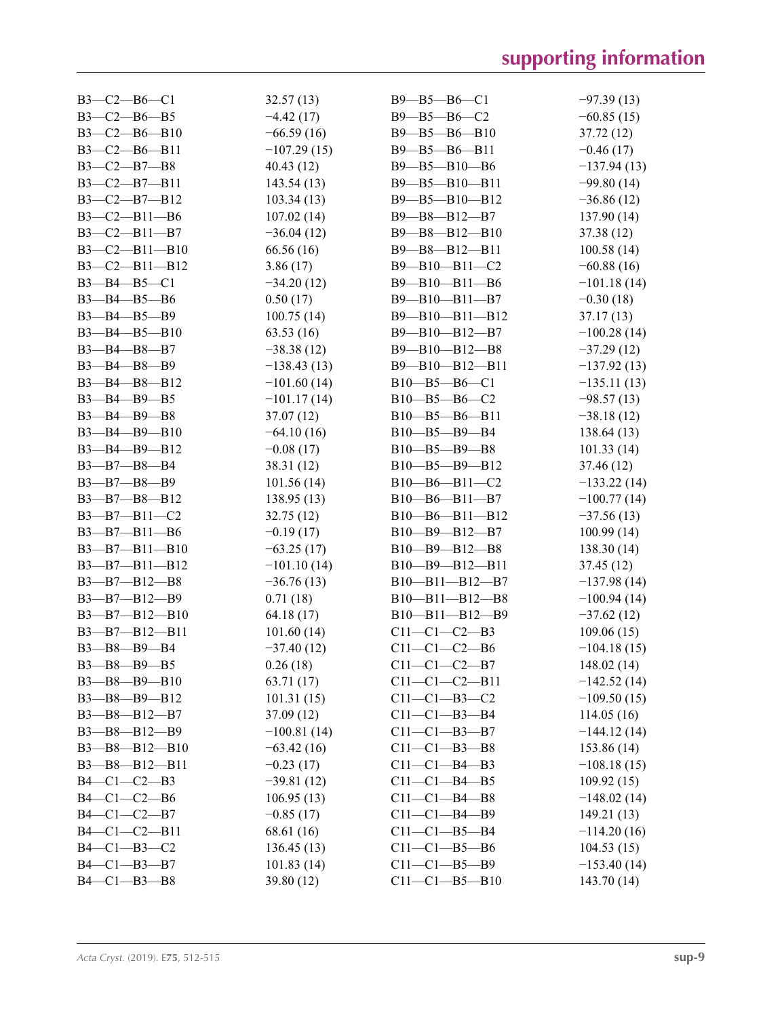| $B3-C2-B6-C1$       |                       | 32.57(13)     | $B9 - B5 - B6 - C1$    | $-97.39(13)$  |
|---------------------|-----------------------|---------------|------------------------|---------------|
| $B3-C2-B6-B5$       |                       | $-4.42(17)$   | B9-B5-B6-C2            | $-60.85(15)$  |
|                     | $B3 - C2 - B6 - B10$  | $-66.59(16)$  | B9-B5-B6-B10           | 37.72 (12)    |
|                     | $B3-C2-B6-B11$        | $-107.29(15)$ | B9-B5-B6-B11           | $-0.46(17)$   |
| $B3 - C2 - B7 - B8$ |                       | 40.43(12)     | $B9 - B5 - B10 - B6$   | $-137.94(13)$ |
|                     | $B3-C2-B7-B11$        | 143.54(13)    | $B9 - B5 - B10 - B11$  | $-99.80(14)$  |
|                     | $B3-C2-B7-B12$        | 103.34(13)    | B9-B5-B10-B12          | $-36.86(12)$  |
|                     | $B3-C2-B11-B6$        | 107.02(14)    | $B9 - B8 - B12 - B7$   | 137.90(14)    |
|                     | $B3-C2-B11-B7$        | $-36.04(12)$  | B9-B8-B12-B10          | 37.38 (12)    |
|                     | $B3-C2-B11-B10$       | 66.56 (16)    | $B9 - B8 - B12 - B11$  | 100.58(14)    |
|                     | $B3-C2-B11-B12$       | 3.86(17)      | B9-B10-B11-C2          | $-60.88(16)$  |
| $B3 - B4 - B5 - C1$ |                       | $-34.20(12)$  | B9-B10-B11-B6          | $-101.18(14)$ |
| B3-B4-B5-B6         |                       | 0.50(17)      | B9-B10-B11-B7          | $-0.30(18)$   |
| B3-B4-B5-B9         |                       | 100.75(14)    | B9-B10-B11-B12         | 37.17(13)     |
|                     | $B3 - B4 - B5 - B10$  | 63.53(16)     | $B9 - B10 - B12 - B7$  | $-100.28(14)$ |
| $B3 - B4 - B8 - B7$ |                       | $-38.38(12)$  | $B9 - B10 - B12 - B8$  | $-37.29(12)$  |
| $B3 - B4 - B8 - B9$ |                       | $-138.43(13)$ | B9-B10-B12-B11         | $-137.92(13)$ |
|                     | B3-B4-B8-B12          | $-101.60(14)$ | $B10 - B5 - B6 - C1$   | $-135.11(13)$ |
| B3-B4-B9-B5         |                       | $-101.17(14)$ | $B10 - B5 - B6 - C2$   | $-98.57(13)$  |
| B3-B4-B9-B8         |                       | 37.07(12)     | $B10 - B5 - B6 - B11$  | $-38.18(12)$  |
|                     | $B3 - B4 - B9 - B10$  | $-64.10(16)$  | $B10 - B5 - B9 - B4$   | 138.64 (13)   |
|                     | B3-B4-B9-B12          | $-0.08(17)$   | $B10 - B5 - B9 - B8$   | 101.33(14)    |
| $B3 - B7 - B8 - B4$ |                       | 38.31 (12)    | $B10 - B5 - B9 - B12$  | 37.46 (12)    |
| B3-B7-B8-B9         |                       | 101.56(14)    | $B10 - B6 - B11 - C2$  | $-133.22(14)$ |
|                     | B3-B7-B8-B12          | 138.95(13)    | $B10 - B6 - B11 - B7$  | $-100.77(14)$ |
|                     | $B3 - B7 - B11 - C2$  | 32.75(12)     | $B10 - B6 - B11 - B12$ | $-37.56(13)$  |
|                     | $B3 - B7 - B11 - B6$  | $-0.19(17)$   | $B10 - B9 - B12 - B7$  | 100.99(14)    |
|                     | $B3 - B7 - B11 - B10$ | $-63.25(17)$  | $B10 - B9 - B12 - B8$  | 138.30(14)    |
|                     | $B3 - B7 - B11 - B12$ | $-101.10(14)$ | B10-B9-B12-B11         | 37.45 (12)    |
|                     | $B3 - B7 - B12 - B8$  | $-36.76(13)$  | $B10 - B11 - B12 - B7$ | $-137.98(14)$ |
|                     | $B3 - B7 - B12 - B9$  | 0.71(18)      | $B10 - B11 - B12 - B8$ | $-100.94(14)$ |
|                     | B3-B7-B12-B10         | 64.18 (17)    | $B10 - B11 - B12 - B9$ | $-37.62(12)$  |
|                     | $B3 - B7 - B12 - B11$ | 101.60(14)    | $C11-C1-C2-B3$         | 109.06(15)    |
| B3-B8-B9-B4         |                       | $-37.40(12)$  | $C11-C1-C2-B6$         | $-104.18(15)$ |
| $B3 - B8 - B9 - B5$ |                       | 0.26(18)      | $C11-C1-C2-B7$         | 148.02 (14)   |
|                     | $B3 - B8 - B9 - B10$  | 63.71 (17)    | $C11-C1-C2-B11$        | $-142.52(14)$ |
|                     | B3-B8-B9-B12          | 101.31(15)    | $C11-C1-B3-C2$         | $-109.50(15)$ |
|                     | B3-B8-B12-B7          | 37.09(12)     | $C11-C1-B3-B4$         | 114.05(16)    |
|                     | B3-B8-B12-B9          | $-100.81(14)$ | $C11-C1-B3-B7$         | $-144.12(14)$ |
|                     | $B3 - B8 - B12 - B10$ | $-63.42(16)$  | $C11-C1-B3-B8$         | 153.86 (14)   |
|                     | B3-B8-B12-B11         | $-0.23(17)$   | $C11 - C1 - B4 - B3$   | $-108.18(15)$ |
| $B4-C1-C2-B3$       |                       | $-39.81(12)$  | $C11-C1-B4-B5$         | 109.92(15)    |
| $B4-C1-C2-B6$       |                       | 106.95(13)    | $C11 - C1 - B4 - B8$   | $-148.02(14)$ |
| $B4 - C1 - C2 - B7$ |                       | $-0.85(17)$   | $C11-C1-B4-B9$         | 149.21(13)    |
|                     | $B4 - C1 - C2 - B11$  | 68.61 (16)    | $C11-C1-B5-B4$         | $-114.20(16)$ |
| $B4-C1-B3-C2$       |                       | 136.45(13)    | $C11-C1-B5-B6$         | 104.53(15)    |
| $B4-C1-B3-B7$       |                       | 101.83(14)    | $C11-C1-B5-B9$         | $-153.40(14)$ |
| $B4-C1-B3-B8$       |                       | 39.80 (12)    | $C11-C1-B5-B10$        | 143.70(14)    |
|                     |                       |               |                        |               |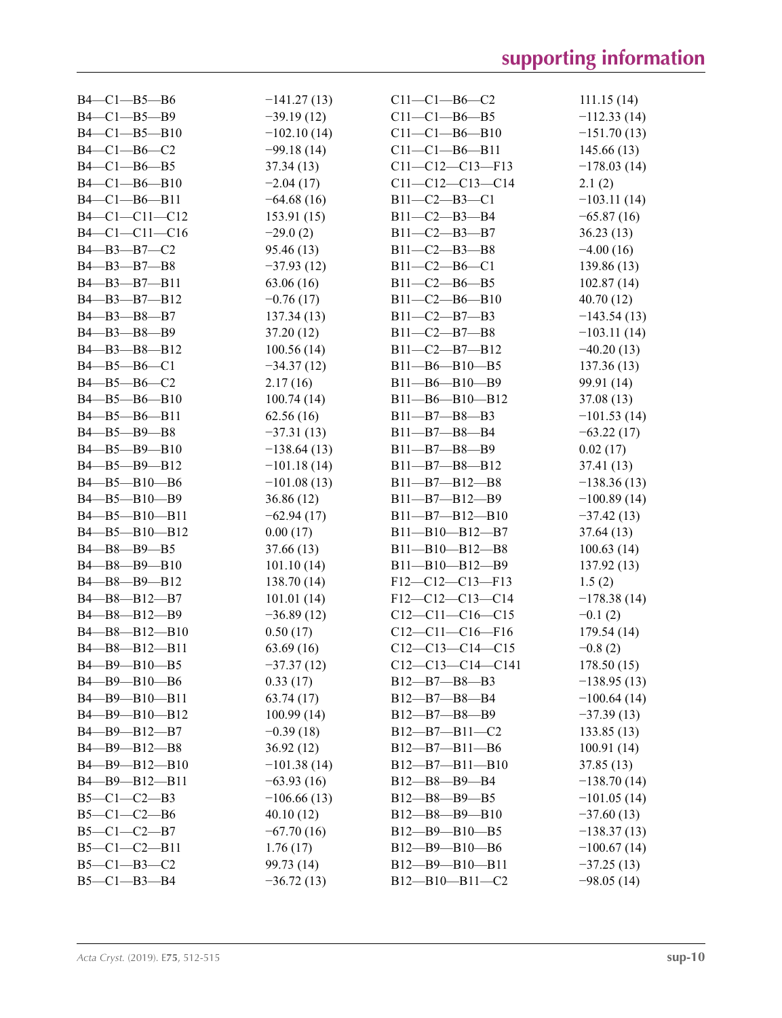| $B4-C1-B5-B6$                                                   | $-141.27(13)$ | $C11 - C1 - B6 - C2$   | 111.15(14)    |
|-----------------------------------------------------------------|---------------|------------------------|---------------|
| $B4-C1-B5-B9$                                                   | $-39.19(12)$  | $C11-C1-B6-B5$         | $-112.33(14)$ |
| $B4 - C1 - B5 - B10$                                            | $-102.10(14)$ | $C11-C1-B6-B10$        | $-151.70(13)$ |
| $B4-C1-B6-C2$                                                   | $-99.18(14)$  | $C11-C1-B6-B11$        | 145.66(13)    |
| $B4-C1-B6-B5$                                                   | 37.34(13)     | $C11-C12-C13-F13$      | $-178.03(14)$ |
| $B4 - C1 - B6 - B10$                                            | $-2.04(17)$   | $C11-C12-C13-C14$      | 2.1(2)        |
| B4-C1-B6-B11                                                    | $-64.68(16)$  | $B11 - C2 - B3 - C1$   | $-103.11(14)$ |
| B4-C1-C11-C12                                                   | 153.91(15)    | $B11 - C2 - B3 - B4$   | $-65.87(16)$  |
| B4-C1-C11-C16                                                   | $-29.0(2)$    | $B11 - C2 - B3 - B7$   | 36.23(13)     |
| $B4 - B3 - B7 - C2$                                             | 95.46 (13)    | $B11 - C2 - B3 - B8$   | $-4.00(16)$   |
| B4-B3-B7-B8                                                     | $-37.93(12)$  | $B11 - C2 - B6 - C1$   | 139.86 (13)   |
| B4-B3-B7-B11                                                    | 63.06 (16)    | $B11 - C2 - B6 - B5$   | 102.87(14)    |
|                                                                 |               |                        |               |
| B4-B3-B7-B12                                                    | $-0.76(17)$   | $B11 - C2 - B6 - B10$  | 40.70(12)     |
| B4-B3-B8-B7                                                     | 137.34(13)    | $B11-C2-B7-B3$         | $-143.54(13)$ |
| B4-B3-B8-B9                                                     | 37.20(12)     | $B11 - C2 - B7 - B8$   | $-103.11(14)$ |
| B4-B3-B8-B12                                                    | 100.56(14)    | $B11-C2-B7-B12$        | $-40.20(13)$  |
| $B4 - B5 - B6 - C1$                                             | $-34.37(12)$  | $B11 - B6 - B10 - B5$  | 137.36(13)    |
| $B4 - B5 - B6 - C2$                                             | 2.17(16)      | B11-B6-B10-B9          | 99.91 (14)    |
| B4-B5-B6-B10                                                    | 100.74(14)    | $B11 - B6 - B10 - B12$ | 37.08 (13)    |
| B4-B5-B6-B11                                                    | 62.56(16)     | $B11 - B7 - B8 - B3$   | $-101.53(14)$ |
| B4-B5-B9-B8                                                     | $-37.31(13)$  | $B11 - B7 - B8 - B4$   | $-63.22(17)$  |
| B4-B5-B9-B10                                                    | $-138.64(13)$ | $B11 - B7 - B8 - B9$   | 0.02(17)      |
| $B4 - B5 - B9 - B12$                                            | $-101.18(14)$ | $B11 - B7 - B8 - B12$  | 37.41 (13)    |
| B4-B5-B10-B6                                                    | $-101.08(13)$ | $B11 - B7 - B12 - B8$  | $-138.36(13)$ |
| B4-B5-B10-B9                                                    | 36.86(12)     | B11-B7-B12-B9          | $-100.89(14)$ |
| B4-B5-B10-B11                                                   | $-62.94(17)$  | $B11 - B7 - B12 - B10$ | $-37.42(13)$  |
| B4-B5-B10-B12                                                   | 0.00(17)      | $B11 - B10 - B12 - B7$ | 37.64 (13)    |
| B4-B8-B9-B5                                                     | 37.66 (13)    | $B11 - B10 - B12 - B8$ | 100.63(14)    |
| B4-B8-B9-B10                                                    | 101.10(14)    | $B11 - B10 - B12 - B9$ | 137.92(13)    |
| $B4 - B8 - B9 - B12$                                            | 138.70(14)    | $F12-C12-C13-F13$      | 1.5(2)        |
| $B4 - B8 - B12 - B7$                                            | 101.01(14)    | $F12-C12-C13-C14$      | $-178.38(14)$ |
| $B4 - B8 - B12 - B9$                                            | $-36.89(12)$  | $C12-C11-C16-C15$      | $-0.1(2)$     |
| B4-B8-B12-B10                                                   | 0.50(17)      | $C12-C11-C16-F16$      | 179.54 (14)   |
| B4-B8-B12-B11                                                   | 63.69 (16)    | $C12-C13-C14-C15$      | $-0.8(2)$     |
| $B4 - B9 - B10 - B5$                                            |               | $C12-C13-C14-C141$     | 178.50(15)    |
| B4-B9-B10-B6                                                    | $-37.37(12)$  |                        |               |
|                                                                 | 0.33(17)      | B12-B7-B8-B3           | $-138.95(13)$ |
| B4-B9-B10-B11                                                   | 63.74(17)     | B12-B7-B8-B4           | $-100.64(14)$ |
| $B4 - B9 - B10 - B12$                                           | 100.99(14)    | B12-B7-B8-B9           | $-37.39(13)$  |
| $B4 - B9 - B12 - B7$                                            | $-0.39(18)$   | $B12 - B7 - B11 - C2$  | 133.85(13)    |
| B <sub>4</sub> -B <sub>9</sub> -B <sub>12</sub> -B <sub>8</sub> | 36.92(12)     | $B12 - B7 - B11 - B6$  | 100.91(14)    |
| B4-B9-B12-B10                                                   | $-101.38(14)$ | $B12 - B7 - B11 - B10$ | 37.85 (13)    |
| $B4 - B9 - B12 - B11$                                           | $-63.93(16)$  | B12-B8-B9-B4           | $-138.70(14)$ |
| $B5-C1-C2-B3$                                                   | $-106.66(13)$ | $B12 - B8 - B9 - B5$   | $-101.05(14)$ |
| $B5-C1-C2-B6$                                                   | 40.10(12)     | $B12 - B8 - B9 - B10$  | $-37.60(13)$  |
| $B5-C1-C2-B7$                                                   | $-67.70(16)$  | B12-B9-B10-B5          | $-138.37(13)$ |
| $B5-C1-C2-B11$                                                  | 1.76(17)      | $B12 - B9 - B10 - B6$  | $-100.67(14)$ |
| $B5-C1-B3-C2$                                                   | 99.73 (14)    | $B12 - B9 - B10 - B11$ | $-37.25(13)$  |
| $B5 - C1 - B3 - B4$                                             | $-36.72(13)$  | B12-B10-B11-C2         | $-98.05(14)$  |